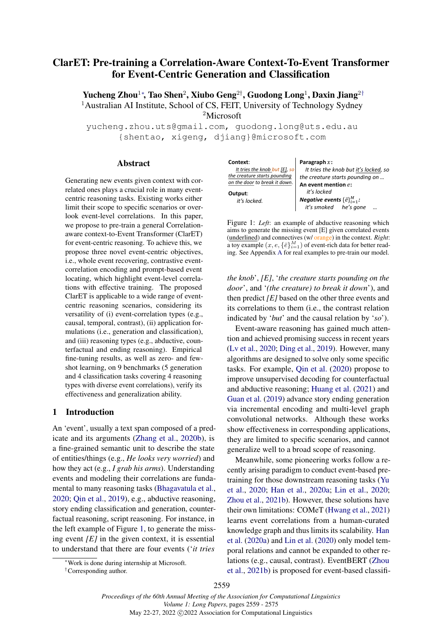# <span id="page-0-0"></span>ClarET: Pre-training a Correlation-Aware Context-To-Event Transformer for Event-Centric Generation and Classification

Yucheng Zhou<sup>1</sup>\*, Tao Shen<sup>2</sup>, Xiubo Geng<sup>2[†](#page-0-0)</sup>, Guodong Long<sup>1</sup>, Daxin Jiang<sup>2†</sup> <sup>1</sup>Australian AI Institute, School of CS, FEIT, University of Technology Sydney <sup>2</sup>Microsoft

yucheng.zhou.uts@gmail.com, guodong.long@uts.edu.au {shentao, xigeng, djiang}@microsoft.com

### Abstract

Generating new events given context with correlated ones plays a crucial role in many eventcentric reasoning tasks. Existing works either limit their scope to specific scenarios or overlook event-level correlations. In this paper, we propose to pre-train a general Correlationaware context-to-Event Transformer (ClarET) for event-centric reasoning. To achieve this, we propose three novel event-centric objectives, i.e., whole event recovering, contrastive eventcorrelation encoding and prompt-based event locating, which highlight event-level correlations with effective training. The proposed ClarET is applicable to a wide range of eventcentric reasoning scenarios, considering its versatility of (i) event-correlation types (e.g., causal, temporal, contrast), (ii) application formulations (i.e., generation and classification), and (iii) reasoning types (e.g., abductive, counterfactual and ending reasoning). Empirical fine-tuning results, as well as zero- and fewshot learning, on 9 benchmarks (5 generation and 4 classification tasks covering 4 reasoning types with diverse event correlations), verify its effectiveness and generalization ability.

### 1 Introduction

An 'event', usually a text span composed of a predicate and its arguments [\(Zhang et al.,](#page-12-0) [2020b\)](#page-12-0), is a fine-grained semantic unit to describe the state of entities/things (e.g., *He looks very worried*) and how they act (e.g., *I grab his arms*). Understanding events and modeling their correlations are fundamental to many reasoning tasks [\(Bhagavatula et al.,](#page-8-0) [2020;](#page-8-0) [Qin et al.,](#page-11-0) [2019\)](#page-11-0), e.g., abductive reasoning, story ending classification and generation, counterfactual reasoning, script reasoning. For instance, in the left example of Figure [1,](#page-0-1) to generate the missing event *[E]* in the given context, it is essential to understand that there are four events ('*it tries*

<span id="page-0-1"></span>

| Context:                      | Paragraph $x$ :                                |  |  |  |  |
|-------------------------------|------------------------------------------------|--|--|--|--|
| It tries the knob but [E], so | It tries the knob but it's locked, so          |  |  |  |  |
| the creature starts pounding  | the creature starts pounding on                |  |  |  |  |
| on the door to break it down. | An event mention e:                            |  |  |  |  |
| Output:                       | it's locked                                    |  |  |  |  |
| it's locked.                  | <i>Negative events</i> $\{\bar{e}\}_{i=1}^M$ : |  |  |  |  |
|                               | it's smoked he's gone                          |  |  |  |  |

Figure 1: *Left*: an example of abductive reasoning which aims to generate the missing event [E] given correlated events (underlined) and connectives (w/ orange) in the context. *Right*: a toy example  $(x, e, \{\bar{e}\}_{i=1}^M)$  of event-rich data for better reading. See Appendix [A](#page-12-1) for real examples to pre-train our model.

*the knob*', *[E]*, '*the creature starts pounding on the door*', and '*(the creature) to break it down*'), and then predict *[E]* based on the other three events and its correlations to them (i.e., the contrast relation indicated by '*but*' and the causal relation by '*so*').

Event-aware reasoning has gained much attention and achieved promising success in recent years [\(Lv et al.,](#page-10-0) [2020;](#page-10-0) [Ding et al.,](#page-9-0) [2019\)](#page-9-0). However, many algorithms are designed to solve only some specific tasks. For example, [Qin et al.](#page-11-1) [\(2020\)](#page-11-1) propose to improve unsupervised decoding for counterfactual and abductive reasoning; [Huang et al.](#page-9-1) [\(2021\)](#page-9-1) and [Guan et al.](#page-9-2) [\(2019\)](#page-9-2) advance story ending generation via incremental encoding and multi-level graph convolutional networks. Although these works show effectiveness in corresponding applications, they are limited to specific scenarios, and cannot generalize well to a broad scope of reasoning.

Meanwhile, some pioneering works follow a recently arising paradigm to conduct event-based pretraining for those downstream reasoning tasks [\(Yu](#page-12-2) [et al.,](#page-12-2) [2020;](#page-12-2) [Han et al.,](#page-9-3) [2020a;](#page-9-3) [Lin et al.,](#page-10-1) [2020;](#page-10-1) [Zhou et al.,](#page-12-3) [2021b\)](#page-12-3). However, these solutions have their own limitations: COMeT [\(Hwang et al.,](#page-9-4) [2021\)](#page-9-4) learns event correlations from a human-curated knowledge graph and thus limits its scalability. [Han](#page-9-3) [et al.](#page-9-3) [\(2020a\)](#page-9-3) and [Lin et al.](#page-10-1) [\(2020\)](#page-10-1) only model temporal relations and cannot be expanded to other relations (e.g., causal, contrast). EventBERT [\(Zhou](#page-12-3) [et al.,](#page-12-3) [2021b\)](#page-12-3) is proposed for event-based classifi-

<sup>∗</sup>Work is done during internship at Microsoft.

<sup>†</sup>Corresponding author.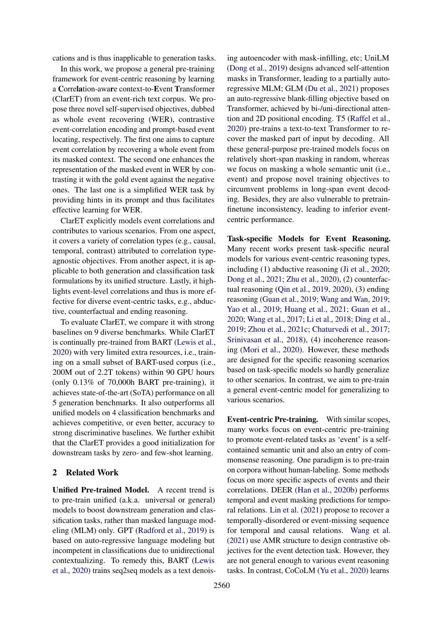cations and is thus inapplicable to generation tasks.

In this work, we propose a general pre-training framework for event-centric reasoning by learning a Correlation-aware context-to-Event Transformer (ClarET) from an event-rich text corpus. We propose three novel self-supervised objectives, dubbed as whole event recovering (WER), contrastive event-correlation encoding and prompt-based event locating, respectively. The first one aims to capture event correlation by recovering a whole event from its masked context. The second one enhances the representation of the masked event in WER by contrasting it with the gold event against the negative ones. The last one is a simplified WER task by providing hints in its prompt and thus facilitates effective learning for WER.

ClarET explicitly models event correlations and contributes to various scenarios. From one aspect, it covers a variety of correlation types (e.g., causal, temporal, contrast) attributed to correlation typeagnostic objectives. From another aspect, it is applicable to both generation and classification task formulations by its unified structure. Lastly, it highlights event-level correlations and thus is more effective for diverse event-centric tasks, e.g., abductive, counterfactual and ending reasoning.

To evaluate ClarET, we compare it with strong baselines on 9 diverse benchmarks. While ClarET is continually pre-trained from BART [\(Lewis et al.,](#page-10-2) [2020\)](#page-10-2) with very limited extra resources, i.e., training on a small subset of BART-used corpus (i.e., 200M out of 2.2T tokens) within 90 GPU hours (only 0.13% of 70,000h BART pre-training), it achieves state-of-the-art (SoTA) performance on all 5 generation benchmarks. It also outperforms all unified models on 4 classification benchmarks and achieves competitive, or even better, accuracy to strong discriminative baselines. We further exhibit that the ClarET provides a good initialization for downstream tasks by zero- and few-shot learning.

### 2 Related Work

Unified Pre-trained Model. A recent trend is to pre-train unified (a.k.a. universal or general) models to boost downstream generation and classification tasks, rather than masked language modeling (MLM) only. GPT [\(Radford et al.,](#page-11-2) [2019\)](#page-11-2) is based on auto-regressive language modeling but incompetent in classifications due to unidirectional contextualizing. To remedy this, BART [\(Lewis](#page-10-2) [et al.,](#page-10-2) [2020\)](#page-10-2) trains seq2seq models as a text denoising autoencoder with mask-infilling, etc; UniLM [\(Dong et al.,](#page-9-5) [2019\)](#page-9-5) designs advanced self-attention masks in Transformer, leading to a partially autoregressive MLM; GLM [\(Du et al.,](#page-9-6) [2021\)](#page-9-6) proposes an auto-regressive blank-filling objective based on Transformer, achieved by bi-/uni-directional attention and 2D positional encoding. T5 [\(Raffel et al.,](#page-11-3) [2020\)](#page-11-3) pre-trains a text-to-text Transformer to recover the masked part of input by decoding. All these general-purpose pre-trained models focus on relatively short-span masking in random, whereas we focus on masking a whole semantic unit (i.e., event) and propose novel training objectives to circumvent problems in long-span event decoding. Besides, they are also vulnerable to pretrainfinetune inconsistency, leading to inferior eventcentric performance.

Task-specific Models for Event Reasoning. Many recent works present task-specific neural models for various event-centric reasoning types, including (1) abductive reasoning [\(Ji et al.,](#page-10-3) [2020;](#page-10-3) [Dong et al.,](#page-9-7) [2021;](#page-9-7) [Zhu et al.,](#page-12-4) [2020\)](#page-12-4), (2) counterfactual reasoning [\(Qin et al.,](#page-11-0) [2019,](#page-11-0) [2020\)](#page-11-1), (3) ending reasoning [\(Guan et al.,](#page-9-2) [2019;](#page-9-2) [Wang and Wan,](#page-11-4) [2019;](#page-11-4) [Yao et al.,](#page-12-5) [2019;](#page-12-5) [Huang et al.,](#page-9-1) [2021;](#page-9-1) [Guan et al.,](#page-9-8) [2020;](#page-9-8) [Wang et al.,](#page-11-5) [2017;](#page-11-5) [Li et al.,](#page-10-4) [2018;](#page-10-4) [Ding et al.,](#page-9-0) [2019;](#page-9-0) [Zhou et al.,](#page-12-6) [2021c;](#page-12-6) [Chaturvedi et al.,](#page-9-9) [2017;](#page-9-9) [Srinivasan et al.,](#page-11-6) [2018\)](#page-11-6), (4) incoherence reasoning [\(Mori et al.,](#page-10-5) [2020\)](#page-10-5). However, these methods are designed for the specific reasoning scenarios based on task-specific models so hardly generalize to other scenarios. In contrast, we aim to pre-train a general event-centric model for generalizing to various scenarios.

Event-centric Pre-training. With similar scopes, many works focus on event-centric pre-training to promote event-related tasks as 'event' is a selfcontained semantic unit and also an entry of commonsense reasoning. One paradigm is to pre-train on corpora without human-labeling. Some methods focus on more specific aspects of events and their correlations. DEER [\(Han et al.,](#page-9-10) [2020b\)](#page-9-10) performs temporal and event masking predictions for temporal relations. [Lin et al.](#page-10-6) [\(2021\)](#page-10-6) propose to recover a temporally-disordered or event-missing sequence for temporal and causal relations. [Wang et al.](#page-11-7) [\(2021\)](#page-11-7) use AMR structure to design contrastive objectives for the event detection task. However, they are not general enough to various event reasoning tasks. In contrast, CoCoLM [\(Yu et al.,](#page-12-2) [2020\)](#page-12-2) learns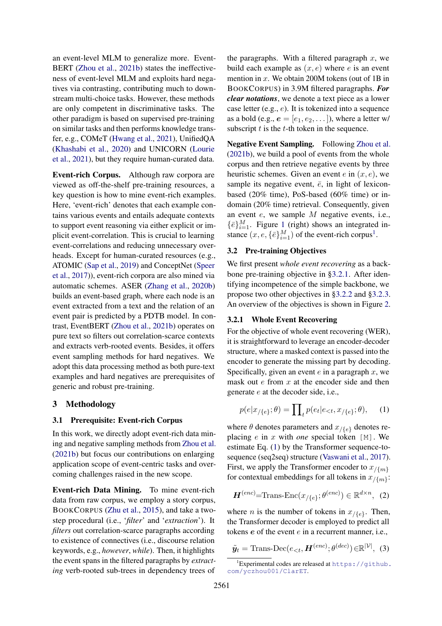an event-level MLM to generalize more. Event-BERT [\(Zhou et al.,](#page-12-3) [2021b\)](#page-12-3) states the ineffectiveness of event-level MLM and exploits hard negatives via contrasting, contributing much to downstream multi-choice tasks. However, these methods are only competent in discriminative tasks. The other paradigm is based on supervised pre-training on similar tasks and then performs knowledge transfer, e.g., COMeT [\(Hwang et al.,](#page-9-4) [2021\)](#page-9-4), UnifiedQA [\(Khashabi et al.,](#page-10-7) [2020\)](#page-10-7) and UNICORN [\(Lourie](#page-10-8) [et al.,](#page-10-8) [2021\)](#page-10-8), but they require human-curated data.

Event-rich Corpus. Although raw corpora are viewed as off-the-shelf pre-training resources, a key question is how to mine event-rich examples. Here, 'event-rich' denotes that each example contains various events and entails adequate contexts to support event reasoning via either explicit or implicit event-correlation. This is crucial to learning event-correlations and reducing unnecessary overheads. Except for human-curated resources (e.g., ATOMIC [\(Sap et al.,](#page-11-8) [2019\)](#page-11-8) and ConceptNet [\(Speer](#page-11-9) [et al.,](#page-11-9) [2017\)](#page-11-9)), event-rich corpora are also mined via automatic schemes. ASER [\(Zhang et al.,](#page-12-0) [2020b\)](#page-12-0) builds an event-based graph, where each node is an event extracted from a text and the relation of an event pair is predicted by a PDTB model. In contrast, EventBERT [\(Zhou et al.,](#page-12-3) [2021b\)](#page-12-3) operates on pure text so filters out correlation-scarce contexts and extracts verb-rooted events. Besides, it offers event sampling methods for hard negatives. We adopt this data processing method as both pure-text examples and hard negatives are prerequisites of generic and robust pre-training.

### 3 Methodology

#### 3.1 Prerequisite: Event-rich Corpus

In this work, we directly adopt event-rich data mining and negative sampling methods from [Zhou et al.](#page-12-3) [\(2021b\)](#page-12-3) but focus our contributions on enlarging application scope of event-centric tasks and overcoming challenges raised in the new scope.

Event-rich Data Mining. To mine event-rich data from raw corpus, we employ a story corpus, BOOKCORPUS [\(Zhu et al.,](#page-12-7) [2015\)](#page-12-7), and take a twostep procedural (i.e., '*filter*' and '*extraction*'). It *filters* out correlation-scarce paragraphs according to existence of connectives (i.e., discourse relation keywords, e.g., *however*, *while*). Then, it highlights the event spans in the filtered paragraphs by *extracting* verb-rooted sub-trees in dependency trees of

the paragraphs. With a filtered paragraph  $x$ , we build each example as  $(x, e)$  where e is an event mention in  $x$ . We obtain 200M tokens (out of 1B in BOOKCORPUS) in 3.9M filtered paragraphs. *For clear notations*, we denote a text piece as a lower case letter  $(e.g., e)$ . It is tokenized into a sequence as a bold (e.g.,  $e = [e_1, e_2, \dots]$ ), where a letter w/ subscript  $t$  is the  $t$ -th token in the sequence.

Negative Event Sampling. Following [Zhou et al.](#page-12-3) [\(2021b\)](#page-12-3), we build a pool of events from the whole corpus and then retrieve negative events by three heuristic schemes. Given an event  $e$  in  $(x, e)$ , we sample its negative event,  $\bar{e}$ , in light of lexiconbased (20% time), PoS-based (60% time) or indomain (20% time) retrieval. Consequently, given an event e, we sample M negative events, i.e.,  $\{\bar{e}\}_{i=1}^M$  $\{\bar{e}\}_{i=1}^M$  $\{\bar{e}\}_{i=1}^M$ . Figure 1 (right) shows an integrated instance  $(x, e, \{\bar{e}\}_{i=1}^M)$  $(x, e, \{\bar{e}\}_{i=1}^M)$  $(x, e, \{\bar{e}\}_{i=1}^M)$  of the event-rich corpus<sup>1</sup>.

### 3.2 Pre-training Objectives

We first present *whole event recovering* as a backbone pre-training objective in [§3.2.1.](#page-2-1) After identifying incompetence of the simple backbone, we propose two other objectives in [§3.2.2](#page-3-0) and [§3.2.3.](#page-3-1) An overview of the objectives is shown in Figure [2.](#page-3-2)

#### <span id="page-2-1"></span>3.2.1 Whole Event Recovering

For the objective of whole event recovering (WER), it is straightforward to leverage an encoder-decoder structure, where a masked context is passed into the encoder to generate the missing part by decoding. Specifically, given an event  $e$  in a paragraph  $x$ , we mask out  $e$  from  $x$  at the encoder side and then generate e at the decoder side, i.e.,

<span id="page-2-2"></span>
$$
p(e|x_{/\{e\}}; \theta) = \prod_{t} p(e_t|e_{< t}, x_{/\{e\}}; \theta), \quad (1)
$$

where  $\theta$  denotes parameters and  $x_{\ell}$  denotes replacing e in x with *one* special token [M]. We estimate Eq. [\(1\)](#page-2-2) by the Transformer sequence-tosequence (seq2seq) structure [\(Vaswani et al.,](#page-11-10) [2017\)](#page-11-10). First, we apply the Transformer encoder to  $x_{/\{m\}}$ for contextual embeddings for all tokens in  $x_{\{m\}}$ :

<span id="page-2-3"></span>
$$
\boldsymbol{H}^{(enc)} = \text{Trans-Enc}(x_{/\{e\}}; \theta^{(enc)}) \in \mathbb{R}^{d \times n}, \tag{2}
$$

where *n* is the number of tokens in  $x_{/\{e\}}$ . Then, the Transformer decoder is employed to predict all tokens e of the event e in a recurrent manner, i.e.,

$$
\tilde{\mathbf{y}}_t = \text{Trans-Dec}(e_{< t}, \mathbf{H}^{(enc)}; \theta^{(dec)}) \in \mathbb{R}^{|\mathcal{V}|}, \tag{3}
$$

<span id="page-2-0"></span><sup>&</sup>lt;sup>1</sup>Experimental codes are released at  $https://github.$ [com/yczhou001/ClarET](https://github.com/yczhou001/ClarET).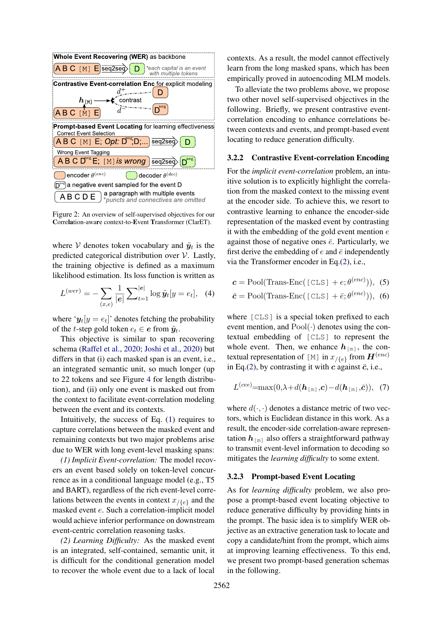<span id="page-3-2"></span>

Figure 2: An overview of self-supervised objectives for our Correlation-aware context-to-Event Transformer (ClarET).

where V denotes token vocabulary and  $\tilde{y}_t$  is the predicted categorical distribution over V. Lastly, the training objective is defined as a maximum likelihood estimation. Its loss function is written as

$$
L^{(wer)} = -\sum_{(x,e)} \frac{1}{|e|} \sum_{t=1}^{|e|} \log \tilde{y}_t[y = e_t], \quad (4)
$$

where ' $y_t[y = e_t]$ ' denotes fetching the probability of the *t*-step gold token  $e_t \in e$  from  $\tilde{y}_t$ .

This objective is similar to span recovering schema [\(Raffel et al.,](#page-11-3) [2020;](#page-11-3) [Joshi et al.,](#page-10-9) [2020\)](#page-10-9) but differs in that (i) each masked span is an event, i.e., an integrated semantic unit, so much longer (up to 22 tokens and see Figure [4](#page-7-0) for length distribution), and (ii) only one event is masked out from the context to facilitate event-correlation modeling between the event and its contexts.

Intuitively, the success of Eq. [\(1\)](#page-2-2) requires to capture correlations between the masked event and remaining contexts but two major problems arise due to WER with long event-level masking spans:

*(1) Implicit Event-correlation:* The model recovers an event based solely on token-level concurrence as in a conditional language model (e.g., T5 and BART), regardless of the rich event-level correlations between the events in context  $x_{/\{e\}}$  and the masked event e. Such a correlation-implicit model would achieve inferior performance on downstream event-centric correlation reasoning tasks.

*(2) Learning Difficulty:* As the masked event is an integrated, self-contained, semantic unit, it is difficult for the conditional generation model to recover the whole event due to a lack of local contexts. As a result, the model cannot effectively learn from the long masked spans, which has been empirically proved in autoencoding MLM models.

To alleviate the two problems above, we propose two other novel self-supervised objectives in the following. Briefly, we present contrastive eventcorrelation encoding to enhance correlations between contexts and events, and prompt-based event locating to reduce generation difficulty.

### <span id="page-3-0"></span>3.2.2 Contrastive Event-correlation Encoding

For the *implicit event-correlation* problem, an intuitive solution is to explicitly highlight the correlation from the masked context to the missing event at the encoder side. To achieve this, we resort to contrastive learning to enhance the encoder-side representation of the masked event by contrasting it with the embedding of the gold event mention  $e$ against those of negative ones  $\bar{e}$ . Particularly, we first derive the embedding of e and  $\bar{e}$  independently via the Transformer encoder in Eq.[\(2\)](#page-2-3), i.e.,

<span id="page-3-3"></span> $\boldsymbol{c} = \text{Pool}(\text{Trans-Enc}(\text{[CLS]} + e; \theta^{(enc)})),$  (5)

$$
\bar{c} = \text{Pool}(\text{Trans-Enc}(\text{[CLS]} + \bar{e}; \theta^{(enc)})), (6)
$$

where [CLS] is a special token prefixed to each event mention, and  $Pool(\cdot)$  denotes using the contextual embedding of [CLS] to represent the whole event. Then, we enhance  $h_{\lceil m \rceil}$ , the contextual representation of [M] in  $x_{/\{e\}}$  from  $\mathbf{H}^{(enc)}$ in Eq.[\(2\)](#page-2-3), by contrasting it with c against  $\bar{c}$ , i.e.,

<span id="page-3-4"></span>
$$
L^{(cee)} = \max(0, \lambda + d(\boldsymbol{h}_{\text{[m]}}, \boldsymbol{c}) - d(\boldsymbol{h}_{\text{[m]}}, \bar{\boldsymbol{c}})), \quad (7)
$$

where  $d(\cdot, \cdot)$  denotes a distance metric of two vectors, which is Euclidean distance in this work. As a result, the encoder-side correlation-aware representation  $h_{\lceil m \rceil}$  also offers a straightforward pathway to transmit event-level information to decoding so mitigates the *learning difficulty* to some extent.

### <span id="page-3-1"></span>3.2.3 Prompt-based Event Locating

As for *learning difficulty* problem, we also propose a prompt-based event locating objective to reduce generative difficulty by providing hints in the prompt. The basic idea is to simplify WER objective as an extractive generation task to locate and copy a candidate/hint from the prompt, which aims at improving learning effectiveness. To this end, we present two prompt-based generation schemas in the following.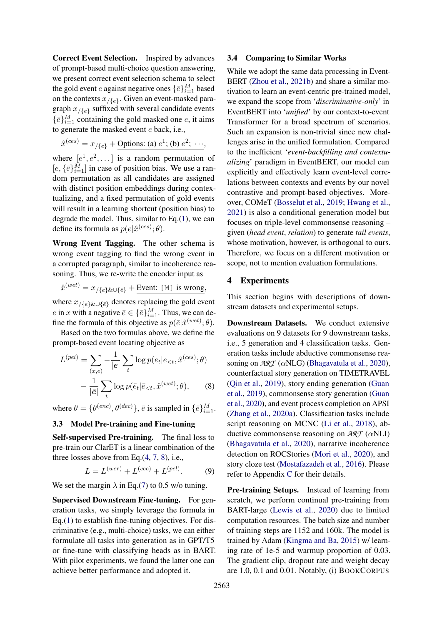Correct Event Selection. Inspired by advances of prompt-based multi-choice question answering, we present correct event selection schema to select the gold event *e* against negative ones  $\{\bar{e}\}_{i=1}^M$  based on the contexts  $x_{/\{e\}}$ . Given an event-masked paragraph  $x_{/\{e\}}$  suffixed with several candidate events  $\{\bar{e}\}_{i=1}^M$  containing the gold masked one  $e$ , it aims to generate the masked event e back, i.e.,

$$
\hat{x}^{(ces)} = x_{/\{e\}} + \text{Options: (a) } e^1; \text{ (b) } e^2; \dots,
$$

where  $[e^1, e^2, \dots]$  is a random permutation of  $[e, {\{\overline{e}\}}_{i=1}^M]$  in case of position bias. We use a random permutation as all candidates are assigned with distinct position embeddings during contextualizing, and a fixed permutation of gold events will result in a learning shortcut (position bias) to degrade the model. Thus, similar to Eq.[\(1\)](#page-2-2), we can define its formula as  $p(e|\hat{x}^{(ces)}; \theta)$ .

Wrong Event Tagging. The other schema is wrong event tagging to find the wrong event in a corrupted paragraph, similar to incoherence reasoning. Thus, we re-write the encoder input as

$$
\hat{x}^{(wet)} = x_{/\{e\}\&\cup\{\bar{e}\}} + \underline{\text{Event: [M] is wrong}},
$$

where  $x_{/\{e\}\&\cup\{\bar{e}\}}$  denotes replacing the gold event e in x with a negative  $\bar{e} \in {\{\bar{e}\}}_{i=1}^M$ . Thus, we can define the formula of this objective as  $p(\bar{e}|\hat{x}^{(wet)};\theta)$ .

Based on the two formulas above, we define the prompt-based event locating objective as

$$
L^{(pel)} = \sum_{(x,e)} -\frac{1}{|e|} \sum_{t} \log p(e_t | e_{< t}, \hat{x}^{(ces)}; \theta)
$$

$$
- \frac{1}{|\bar{e}|} \sum_{t} \log p(\bar{e}_t | \bar{e}_{< t}, \hat{x}^{(wet)}; \theta), \qquad (8)
$$

where  $\theta = \{\theta^{(enc)}, \theta^{(dec)}\}, \bar{e}$  is sampled in  $\{\bar{e}\}_{i=1}^M$ .

# 3.3 Model Pre-training and Fine-tuning

Self-supervised Pre-training. The final loss to pre-train our ClarET is a linear combination of the three losses above from Eq.[\(4,](#page-3-3) [7,](#page-3-4) [8\)](#page-4-0), i.e.,

$$
L = L(wer) + L(cee) + L(pel).
$$
 (9)

We set the margin  $\lambda$  in Eq.[\(7\)](#page-3-4) to 0.5 w/o tuning.

Supervised Downstream Fine-tuning. For generation tasks, we simply leverage the formula in Eq.[\(1\)](#page-2-2) to establish fine-tuning objectives. For discriminative (e.g., multi-choice) tasks, we can either formulate all tasks into generation as in GPT/T5 or fine-tune with classifying heads as in BART. With pilot experiments, we found the latter one can achieve better performance and adopted it.

#### 3.4 Comparing to Similar Works

While we adopt the same data processing in Event-BERT [\(Zhou et al.,](#page-12-3) [2021b\)](#page-12-3) and share a similar motivation to learn an event-centric pre-trained model, we expand the scope from '*discriminative-only*' in EventBERT into '*unified*' by our context-to-event Transformer for a broad spectrum of scenarios. Such an expansion is non-trivial since new challenges arise in the unified formulation. Compared to the inefficient '*event-backfilling and contextualizing*' paradigm in EventBERT, our model can explicitly and effectively learn event-level correlations between contexts and events by our novel contrastive and prompt-based objectives. Moreover, COMeT [\(Bosselut et al.,](#page-8-1) [2019;](#page-8-1) [Hwang et al.,](#page-9-4) [2021\)](#page-9-4) is also a conditional generation model but focuses on triple-level commonsense reasoning – given (*head event*, *relation*) to generate *tail events*, whose motivation, however, is orthogonal to ours. Therefore, we focus on a different motivation or scope, not to mention evaluation formulations.

### 4 Experiments

This section begins with descriptions of downstream datasets and experimental setups.

<span id="page-4-0"></span>Downstream Datasets. We conduct extensive evaluations on 9 datasets for 9 downstream tasks, i.e., 5 generation and 4 classification tasks. Generation tasks include abductive commonsense reasoning on *ART* (αNLG) [\(Bhagavatula et al.,](#page-8-0) [2020\)](#page-8-0), counterfactual story generation on TIMETRAVEL [\(Qin et al.,](#page-11-0) [2019\)](#page-11-0), story ending generation [\(Guan](#page-9-2) [et al.,](#page-9-2) [2019\)](#page-9-2), commonsense story generation [\(Guan](#page-9-8) [et al.,](#page-9-8) [2020\)](#page-9-8), and event process completion on APSI [\(Zhang et al.,](#page-12-8) [2020a\)](#page-12-8). Classification tasks include script reasoning on MCNC [\(Li et al.,](#page-10-4) [2018\)](#page-10-4), abductive commonsense reasoning on *ART* (αNLI) [\(Bhagavatula et al.,](#page-8-0) [2020\)](#page-8-0), narrative incoherence detection on ROCStories [\(Mori et al.,](#page-10-5) [2020\)](#page-10-5), and story cloze test [\(Mostafazadeh et al.,](#page-10-10) [2016\)](#page-10-10). Please refer to Appendix [C](#page-13-0) for their details.

<span id="page-4-1"></span>Pre-training Setups. Instead of learning from scratch, we perform continual pre-training from BART-large [\(Lewis et al.,](#page-10-2) [2020\)](#page-10-2) due to limited computation resources. The batch size and number of training steps are 1152 and 160k. The model is trained by Adam [\(Kingma and Ba,](#page-10-11) [2015\)](#page-10-11) w/ learning rate of 1e-5 and warmup proportion of 0.03. The gradient clip, dropout rate and weight decay are 1.0, 0.1 and 0.01. Notably, (i) BOOKCORPUS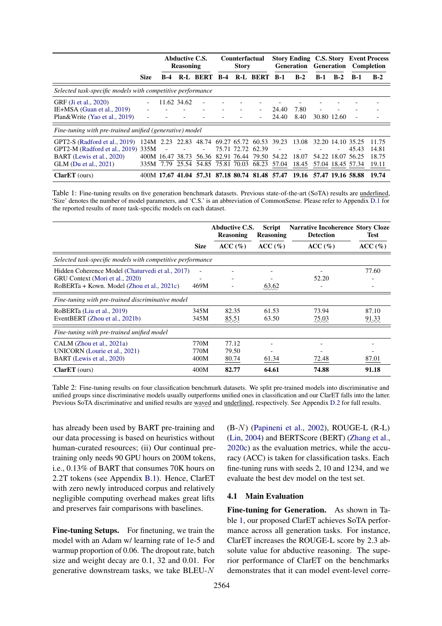<span id="page-5-0"></span>

|                                                                                                                           |                      |                             | <b>Abductive C.S.</b><br><b>Reasoning</b> |                 |       | <b>Counterfactual</b><br><b>Story</b> |                                                                                                    |                | <b>Story Ending C.S. Story</b><br><b>Generation</b> |       | <b>Generation</b>                                           |       | <b>Event Process</b><br>Completion |
|---------------------------------------------------------------------------------------------------------------------------|----------------------|-----------------------------|-------------------------------------------|-----------------|-------|---------------------------------------|----------------------------------------------------------------------------------------------------|----------------|-----------------------------------------------------|-------|-------------------------------------------------------------|-------|------------------------------------|
|                                                                                                                           | <b>Size</b>          | B-4                         |                                           | <b>R-L BERT</b> | $B-4$ |                                       | <b>R-L BERT</b>                                                                                    | $B-1$          | $B-2$                                               | $B-1$ | $B-2$                                                       | $B-1$ | $B-2$                              |
| Selected task-specific models with competitive performance                                                                |                      |                             |                                           |                 |       |                                       |                                                                                                    |                |                                                     |       |                                                             |       |                                    |
| GRF (Ji et al., 2020)<br>IE $+MSA$ (Guan et al., 2019)<br>Plan&Write (Yao et al., 2019)                                   |                      |                             | 11.62 34.62                               |                 |       |                                       |                                                                                                    | 24.40<br>24.40 | 7.80<br>8.40                                        |       | 30.80 12.60                                                 | ٠     |                                    |
| Fine-tuning with pre-trained unified (generative) model                                                                   |                      |                             |                                           |                 |       |                                       |                                                                                                    |                |                                                     |       |                                                             |       |                                    |
| GPT2-S (Radford et al., 2019)<br>GPT2-M (Radford et al., 2019) 335M<br>BART (Lewis et al., 2020)<br>GLM (Du et al., 2021) | 124M<br>400M<br>335M | 2.23<br>16.47 38.73<br>7.79 |                                           | 56.36           |       | 82.91 76.44                           | 22.83 48.74 69.27 65.72 60.53 39.23<br>75.71 72.72 62.39<br>79.50<br>25.54 54.85 75.81 70.03 68.23 | 54.22<br>57.04 | 13.08<br>18.07<br>18.45                             |       | 32.20 14.10 35.25<br>54.22 18.07 56.25<br>57.04 18.45 57.34 | 45.43 | 11.75<br>14.81<br>18.75<br>19.11   |
| $ClarET$ (ours)                                                                                                           |                      | 400M 17.67 41.04            |                                           |                 |       |                                       | 57.31 87.18 80.74 81.48 57.47                                                                      |                | 19.16 57.47 19.16 58.88                             |       |                                                             |       | 19.74                              |

Table 1: Fine-tuning results on five generation benchmark datasets. Previous state-of-the-art (SoTA) results are underlined, 'Size' denotes the number of model parameters, and 'C.S.' is an abbreviation of CommonSense. Please refer to Appendix [D.1](#page-14-0) for the reported results of more task-specific models on each dataset.

<span id="page-5-1"></span>

|                                                                                                                                   |                      | <b>Abductive C.S.</b><br><b>Reasoning</b> | <b>Script</b><br><b>Reasoning</b> | <b>Narrative Incoherence Story Cloze</b><br><b>Detection</b> | <b>Test</b>    |
|-----------------------------------------------------------------------------------------------------------------------------------|----------------------|-------------------------------------------|-----------------------------------|--------------------------------------------------------------|----------------|
|                                                                                                                                   | <b>Size</b>          | ACC(%)                                    | ACC(%)                            | ACC(%)                                                       | ACC (%)        |
| Selected task-specific models with competitive performance                                                                        |                      |                                           |                                   |                                                              |                |
| Hidden Coherence Model (Chaturvedi et al., 2017)<br>GRU Context (Mori et al., 2020)<br>RoBERTa + Kown. Model (Zhou et al., 2021c) | 469M                 |                                           | 63.62                             | 52.20                                                        | 77.60          |
| Fine-tuning with pre-trained discriminative model                                                                                 |                      |                                           |                                   |                                                              |                |
| RoBERTa (Liu et al., 2019)<br>EventBERT (Zhou et al., 2021b)                                                                      | 345M<br>345M         | 82.35<br>85.51                            | 61.53<br>63.50                    | 73.94<br>75.03                                               | 87.10<br>91.33 |
| Fine-tuning with pre-trained unified model                                                                                        |                      |                                           |                                   |                                                              |                |
| CALM (Zhou et al., 2021a)<br>UNICORN (Lourie et al., 2021)<br>BART (Lewis et al., 2020)                                           | 770M<br>770M<br>400M | 77.12<br>79.50<br>80.74                   | 61.34                             | 72.48                                                        | 87.01          |
| $ClarET$ (ours)                                                                                                                   | 400M                 | 82.77                                     | 64.61                             | 74.88                                                        | 91.18          |

Table 2: Fine-tuning results on four classification benchmark datasets. We split pre-trained models into discriminative and unified groups since discriminative models usually outperforms unified ones in classification and our ClarET falls into the latter. Previous SoTA discriminative and unified results are waved and underlined, respectively. See Appendix [D.2](#page-14-1) for full results.

has already been used by BART pre-training and our data processing is based on heuristics without human-curated resources; (ii) Our continual pretraining only needs 90 GPU hours on 200M tokens, i.e., 0.13% of BART that consumes 70K hours on 2.2T tokens (see Appendix [B.1\)](#page-12-10). Hence, ClarET with zero newly introduced corpus and relatively negligible computing overhead makes great lifts and preserves fair comparisons with baselines.

Fine-tuning Setups. For finetuning, we train the model with an Adam w/ learning rate of 1e-5 and warmup proportion of 0.06. The dropout rate, batch size and weight decay are 0.1, 32 and 0.01. For generative downstream tasks, we take BLEU-N

(B-N) [\(Papineni et al.,](#page-10-13) [2002\)](#page-10-13), ROUGE-L (R-L) [\(Lin,](#page-10-14) [2004\)](#page-10-14) and BERTScore (BERT) [\(Zhang et al.,](#page-12-11) [2020c\)](#page-12-11) as the evaluation metrics, while the accuracy (ACC) is taken for classification tasks. Each fine-tuning runs with seeds 2, 10 and 1234, and we evaluate the best dev model on the test set.

# 4.1 Main Evaluation

Fine-tuning for Generation. As shown in Table [1,](#page-5-0) our proposed ClarET achieves SoTA performance across all generation tasks. For instance, ClarET increases the ROUGE-L score by 2.3 absolute value for abductive reasoning. The superior performance of ClarET on the benchmarks demonstrates that it can model event-level corre-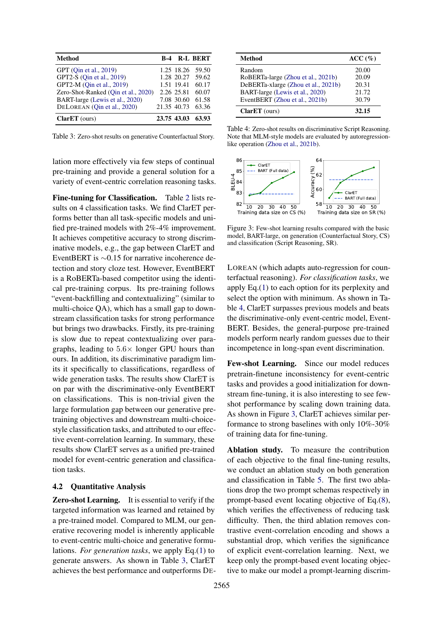<span id="page-6-0"></span>

| <b>Method</b>                       | R-4         |             | R-L BERT |
|-------------------------------------|-------------|-------------|----------|
| GPT (Oin et al., 2019)              |             | 1.25 18.26  | 59.50    |
| GPT2-S (Oin et al., 2019)           |             | 1.28 20.27  | 59.62    |
| GPT2-M (Qin et al., 2019)           |             | 1.51 19.41  | 60.17    |
| Zero-Shot-Ranked (Oin et al., 2020) |             | 2.26 25.81  | 60.07    |
| BART-large (Lewis et al., 2020)     |             | 7.08 30.60  | 61.58    |
| DELOREAN (Oin et al., 2020)         | 21.35 40.73 |             | 63.36    |
| $ClarET$ (ours)                     |             | 23.75 43.03 | 63.93    |

Table 3: Zero-shot results on generative Counterfactual Story.

lation more effectively via few steps of continual pre-training and provide a general solution for a variety of event-centric correlation reasoning tasks.

Fine-tuning for Classification. Table [2](#page-5-1) lists results on 4 classification tasks. We find ClarET performs better than all task-specific models and unified pre-trained models with 2%-4% improvement. It achieves competitive accuracy to strong discriminative models, e.g., the gap between ClarET and EventBERT is ∼0.15 for narrative incoherence detection and story cloze test. However, EventBERT is a RoBERTa-based competitor using the identical pre-training corpus. Its pre-training follows "event-backfilling and contextualizing" (similar to multi-choice QA), which has a small gap to downstream classification tasks for strong performance but brings two drawbacks. Firstly, its pre-training is slow due to repeat contextualizing over paragraphs, leading to  $5.6 \times$  longer GPU hours than ours. In addition, its discriminative paradigm limits it specifically to classifications, regardless of wide generation tasks. The results show ClarET is on par with the discriminative-only EventBERT on classifications. This is non-trivial given the large formulation gap between our generative pretraining objectives and downstream multi-choicestyle classification tasks, and attributed to our effective event-correlation learning. In summary, these results show ClarET serves as a unified pre-trained model for event-centric generation and classification tasks.

### 4.2 Quantitative Analysis

Zero-shot Learning. It is essential to verify if the targeted information was learned and retained by a pre-trained model. Compared to MLM, our generative recovering model is inherently applicable to event-centric multi-choice and generative formulations. *For generation tasks*, we apply Eq.[\(1\)](#page-2-2) to generate answers. As shown in Table [3,](#page-6-0) ClarET achieves the best performance and outperforms DE-

<span id="page-6-1"></span>

| <b>Method</b>                       | ACC(%) |
|-------------------------------------|--------|
| Random                              | 20.00  |
| RoBERTa-large (Zhou et al., 2021b)  | 20.09  |
| DeBERTa-xlarge (Zhou et al., 2021b) | 20.31  |
| BART-large (Lewis et al., 2020)     | 21.72  |
| EventBERT (Zhou et al., 2021b)      | 30.79  |
| $ClarET$ (ours)                     | 32.15  |

Table 4: Zero-shot results on discriminative Script Reasoning. Note that MLM-style models are evaluated by autoregressionlike operation [\(Zhou et al.,](#page-12-3) [2021b\)](#page-12-3).

<span id="page-6-2"></span>

Figure 3: Few-shot learning results compared with the basic model, BART-large, on generation (Counterfactual Story, CS) and classification (Script Reasoning, SR).

LOREAN (which adapts auto-regression for counterfactual reasoning). *For classification tasks*, we apply Eq.[\(1\)](#page-2-2) to each option for its perplexity and select the option with minimum. As shown in Table [4,](#page-6-1) ClarET surpasses previous models and beats the discriminative-only event-centric model, Event-BERT. Besides, the general-purpose pre-trained models perform nearly random guesses due to their incompetence in long-span event discrimination.

Few-shot Learning. Since our model reduces pretrain-finetune inconsistency for event-centric tasks and provides a good initialization for downstream fine-tuning, it is also interesting to see fewshot performance by scaling down training data. As shown in Figure [3,](#page-6-2) ClarET achieves similar performance to strong baselines with only 10%-30% of training data for fine-tuning.

Ablation study. To measure the contribution of each objective to the final fine-tuning results, we conduct an ablation study on both generation and classification in Table [5.](#page-7-1) The first two ablations drop the two prompt schemas respectively in prompt-based event locating objective of Eq.[\(8\)](#page-4-0), which verifies the effectiveness of reducing task difficulty. Then, the third ablation removes contrastive event-correlation encoding and shows a substantial drop, which verifies the significance of explicit event-correlation learning. Next, we keep only the prompt-based event locating objective to make our model a prompt-learning discrim-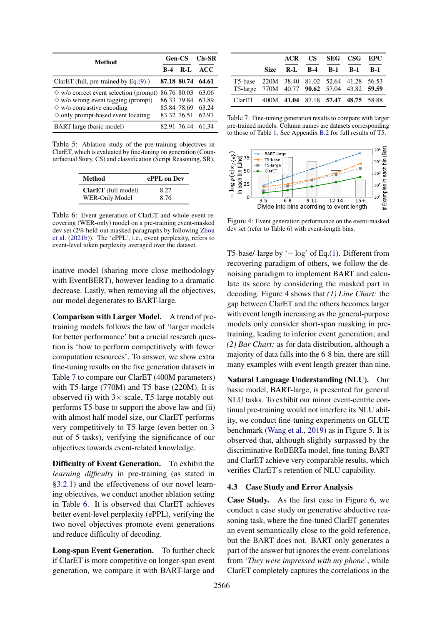<span id="page-7-1"></span>

| Method                                                                                                                                                                               | Gen-CS     | $Cls-SR$                                                 |                                  |
|--------------------------------------------------------------------------------------------------------------------------------------------------------------------------------------|------------|----------------------------------------------------------|----------------------------------|
|                                                                                                                                                                                      | <b>B-4</b> | $R-I$                                                    | ACC.                             |
| ClarET (full, pre-trained by Eq. $(9)$ .)                                                                                                                                            |            | 87.18 80.74                                              | 64.61                            |
| $\Diamond$ w/o correct event selection (prompt)<br>$\diamond$ w/o wrong event tagging (prompt)<br>$\diamond$ w/o contrastive encoding<br>$\diamond$ only prompt-based event locating |            | 86.76 80.03<br>86.33 79.84<br>85.84 78.69<br>83.32 76.51 | 63.06<br>63.89<br>63.24<br>62.97 |
| BART-large (basic model)                                                                                                                                                             |            |                                                          | 82.91 76.44 61.34                |

<span id="page-7-3"></span>Table 5: Ablation study of the pre-training objectives in ClarET, which is evaluated by fine-tuning on generation (Counterfactual Story, CS) and classification (Script Reasoning, SR).

| Method                     | ePPL on Dev |
|----------------------------|-------------|
| <b>ClarET</b> (full model) | 8.27        |
| WER-Only Model             | 8.76        |

Table 6: Event generation of ClarET and whole event recovering (WER-only) model on a pre-training event-masked dev set (2% held-out masked paragraphs by following [Zhou](#page-12-3) [et al.](#page-12-3) [\(2021b\)](#page-12-3)). The 'ePPL', i.e., event perplexity, refers to event-level token perplexity averaged over the dataset.

inative model (sharing more close methodology with EventBERT), however leading to a dramatic decrease. Lastly, when removing all the objectives, our model degenerates to BART-large.

Comparison with Larger Model. A trend of pretraining models follows the law of 'larger models for better performance' but a crucial research question is 'how to perform competitively with fewer computation resources'. To answer, we show extra fine-tuning results on the five generation datasets in Table [7](#page-7-2) to compare our ClarET (400M parameters) with T5-large (770M) and T5-base (220M). It is observed (i) with  $3 \times$  scale, T5-large notably outperforms T5-base to support the above law and (ii) with almost half model size, our ClarET performs very competitively to T5-large (even better on 3 out of 5 tasks), verifying the significance of our objectives towards event-related knowledge.

Difficulty of Event Generation. To exhibit the *learning difficulty* in pre-training (as stated in [§3.2.1\)](#page-2-1) and the effectiveness of our novel learning objectives, we conduct another ablation setting in Table [6.](#page-7-3) It is observed that ClarET achieves better event-level perplexity (ePPL), verifying the two novel objectives promote event generations and reduce difficulty of decoding.

Long-span Event Generation. To further check if ClarET is more competitive on longer-span event generation, we compare it with BART-large and

<span id="page-7-2"></span>

|                                                                                           |  | ACR CS SEG CSG EPC       |  |
|-------------------------------------------------------------------------------------------|--|--------------------------|--|
|                                                                                           |  | Size R-L B-4 B-1 B-1 B-1 |  |
| T5-base 220M 38.40 81.02 52.64 41.28 56.53<br>T5-large 770M 40.77 90.62 57.04 43.82 59.59 |  |                          |  |
| ClarET 400M 41.04 87.18 57.47 48.75 58.88                                                 |  |                          |  |

Table 7: Fine-tuning generation results to compare with larger pre-trained models. Column names are datasets corresponding to those of Table [1.](#page-5-0) See Appendix [B.2](#page-12-12) for full results of T5.

<span id="page-7-0"></span>

Figure 4: Event generation performance on the event-masked dev set (refer to Table [6\)](#page-7-3) with event-length bins.

T5-base/-large by '− log' of Eq.[\(1\)](#page-2-2). Different from recovering paradigm of others, we follow the denoising paradigm to implement BART and calculate its score by considering the masked part in decoding. Figure [4](#page-7-0) shows that *(1) Line Chart:* the gap between ClarET and the others becomes larger with event length increasing as the general-purpose models only consider short-span masking in pretraining, leading to inferior event generation; and *(2) Bar Chart:* as for data distribution, although a majority of data falls into the 6-8 bin, there are still many examples with event length greater than nine.

Natural Language Understanding (NLU). Our basic model, BART-large, is presented for general NLU tasks. To exhibit our minor event-centric continual pre-training would not interfere its NLU ability, we conduct fine-tuning experiments on GLUE benchmark [\(Wang et al.,](#page-11-11) [2019\)](#page-11-11) as in Figure [5.](#page-8-2) It is observed that, although slightly surpassed by the discriminative RoBERTa model, fine-tuning BART and ClarET achieve very comparable results, which verifies ClarET's retention of NLU capability.

#### 4.3 Case Study and Error Analysis

Case Study. As the first case in Figure [6,](#page-8-3) we conduct a case study on generative abductive reasoning task, where the fine-tuned ClarET generates an event semantically close to the gold reference, but the BART does not. BART only generates a part of the answer but ignores the event-correlations from '*They were impressed with my phone*', while ClarET completely captures the correlations in the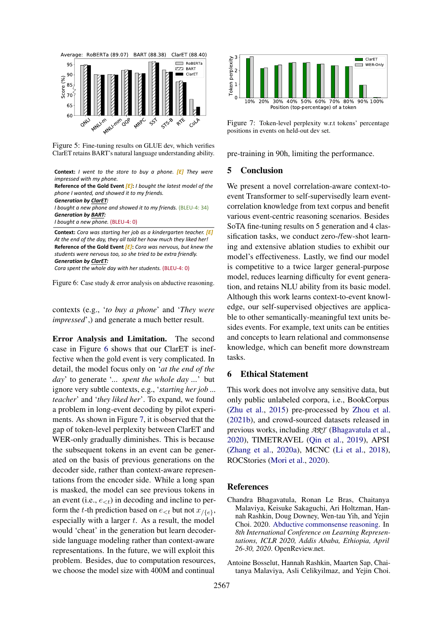<span id="page-8-2"></span>

Figure 5: Fine-tuning results on GLUE dev, which verifies ClarET retains BART's natural language understanding ability.

<span id="page-8-3"></span>**Context:** *I went to the store to buy a phone. [E] They were impressed with my phone.*

**Reference of the Gold Event** *[E]***:** *I bought the latest model of the phone I wanted, and showed it to my friends.*

*Generation by ClarET:*

*I bought a new phone and showed it to my friends.* (BLEU-4: 34) *Generation by BART:*

*I bought a new phone.* (BLEU-4: 0)

**Context:** *Cora was starting her job as a kindergarten teacher. [E] At the end of the day, they all told her how much they liked her!* **Reference of the Gold Event** *[E]***:** *Cora was nervous, but knew the students were nervous too, so she tried to be extra friendly. Generation by ClarET:*

*Cora spent the whole day with her students.* (BLEU-4: 0)

Figure 6: Case study & error analysis on abductive reasoning.

contexts (e.g., '*to buy a phone*' and '*They were impressed*',) and generate a much better result.

Error Analysis and Limitation. The second case in Figure [6](#page-8-3) shows that our ClarET is ineffective when the gold event is very complicated. In detail, the model focus only on '*at the end of the day*' to generate '*... spent the whole day ...*' but ignore very subtle contexts, e.g., '*starting her job ... teacher*' and '*they liked her*'. To expand, we found a problem in long-event decoding by pilot experiments. As shown in Figure [7,](#page-8-4) it is observed that the gap of token-level perplexity between ClarET and WER-only gradually diminishes. This is because the subsequent tokens in an event can be generated on the basis of previous generations on the decoder side, rather than context-aware representations from the encoder side. While a long span is masked, the model can see previous tokens in an event (i.e.,  $e_{< t}$ ) in decoding and incline to perform the t-th prediction based on  $e_{< t}$  but not  $x_{/\{e\}}$ , especially with a larger  $t$ . As a result, the model would 'cheat' in the generation but learn decoderside language modeling rather than context-aware representations. In the future, we will exploit this problem. Besides, due to computation resources, we choose the model size with 400M and continual

<span id="page-8-4"></span>

Figure 7: Token-level perplexity w.r.t tokens' percentage positions in events on held-out dev set.

pre-training in 90h, limiting the performance.

### 5 Conclusion

We present a novel correlation-aware context-toevent Transformer to self-supervisedly learn eventcorrelation knowledge from text corpus and benefit various event-centric reasoning scenarios. Besides SoTA fine-tuning results on 5 generation and 4 classification tasks, we conduct zero-/few-shot learning and extensive ablation studies to exhibit our model's effectiveness. Lastly, we find our model is competitive to a twice larger general-purpose model, reduces learning difficulty for event generation, and retains NLU ability from its basic model. Although this work learns context-to-event knowledge, our self-supervised objectives are applicable to other semantically-meaningful text units besides events. For example, text units can be entities and concepts to learn relational and commonsense knowledge, which can benefit more downstream tasks.

### 6 Ethical Statement

This work does not involve any sensitive data, but only public unlabeled corpora, i.e., BookCorpus [\(Zhu et al.,](#page-12-7) [2015\)](#page-12-7) pre-processed by [Zhou et al.](#page-12-3) [\(2021b\)](#page-12-3), and crowd-sourced datasets released in previous works, including *ART* [\(Bhagavatula et al.,](#page-8-0) [2020\)](#page-8-0), TIMETRAVEL [\(Qin et al.,](#page-11-0) [2019\)](#page-11-0), APSI [\(Zhang et al.,](#page-12-8) [2020a\)](#page-12-8), MCNC [\(Li et al.,](#page-10-4) [2018\)](#page-10-4), ROCStories [\(Mori et al.,](#page-10-5) [2020\)](#page-10-5).

### References

- <span id="page-8-0"></span>Chandra Bhagavatula, Ronan Le Bras, Chaitanya Malaviya, Keisuke Sakaguchi, Ari Holtzman, Hannah Rashkin, Doug Downey, Wen-tau Yih, and Yejin Choi. 2020. [Abductive commonsense reasoning.](https://openreview.net/forum?id=Byg1v1HKDB) In *8th International Conference on Learning Representations, ICLR 2020, Addis Ababa, Ethiopia, April 26-30, 2020*. OpenReview.net.
- <span id="page-8-1"></span>Antoine Bosselut, Hannah Rashkin, Maarten Sap, Chaitanya Malaviya, Asli Celikyilmaz, and Yejin Choi.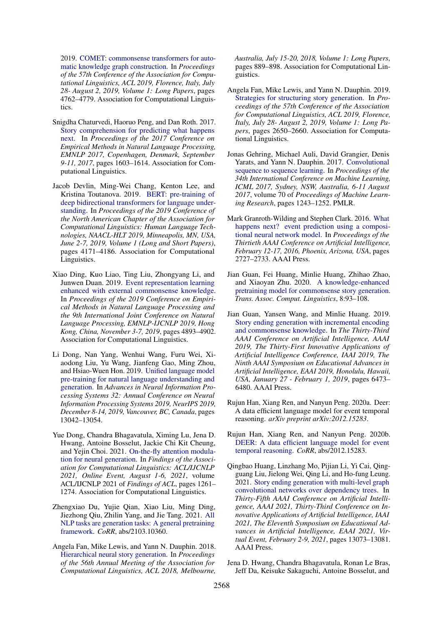2019. [COMET: commonsense transformers for auto](https://doi.org/10.18653/v1/p19-1470)[matic knowledge graph construction.](https://doi.org/10.18653/v1/p19-1470) In *Proceedings of the 57th Conference of the Association for Computational Linguistics, ACL 2019, Florence, Italy, July 28- August 2, 2019, Volume 1: Long Papers*, pages 4762–4779. Association for Computational Linguistics.

- <span id="page-9-9"></span>Snigdha Chaturvedi, Haoruo Peng, and Dan Roth. 2017. [Story comprehension for predicting what happens](https://doi.org/10.18653/v1/d17-1168) [next.](https://doi.org/10.18653/v1/d17-1168) In *Proceedings of the 2017 Conference on Empirical Methods in Natural Language Processing, EMNLP 2017, Copenhagen, Denmark, September 9-11, 2017*, pages 1603–1614. Association for Computational Linguistics.
- <span id="page-9-15"></span>Jacob Devlin, Ming-Wei Chang, Kenton Lee, and Kristina Toutanova. 2019. [BERT: pre-training of](https://doi.org/10.18653/v1/n19-1423) [deep bidirectional transformers for language under](https://doi.org/10.18653/v1/n19-1423)[standing.](https://doi.org/10.18653/v1/n19-1423) In *Proceedings of the 2019 Conference of the North American Chapter of the Association for Computational Linguistics: Human Language Technologies, NAACL-HLT 2019, Minneapolis, MN, USA, June 2-7, 2019, Volume 1 (Long and Short Papers)*, pages 4171–4186. Association for Computational Linguistics.
- <span id="page-9-0"></span>Xiao Ding, Kuo Liao, Ting Liu, Zhongyang Li, and Junwen Duan. 2019. [Event representation learning](https://doi.org/10.18653/v1/D19-1495) [enhanced with external commonsense knowledge.](https://doi.org/10.18653/v1/D19-1495) In *Proceedings of the 2019 Conference on Empirical Methods in Natural Language Processing and the 9th International Joint Conference on Natural Language Processing, EMNLP-IJCNLP 2019, Hong Kong, China, November 3-7, 2019*, pages 4893–4902. Association for Computational Linguistics.
- <span id="page-9-5"></span>Li Dong, Nan Yang, Wenhui Wang, Furu Wei, Xiaodong Liu, Yu Wang, Jianfeng Gao, Ming Zhou, and Hsiao-Wuen Hon. 2019. [Unified language model](https://proceedings.neurips.cc/paper/2019/hash/c20bb2d9a50d5ac1f713f8b34d9aac5a-Abstract.html) [pre-training for natural language understanding and](https://proceedings.neurips.cc/paper/2019/hash/c20bb2d9a50d5ac1f713f8b34d9aac5a-Abstract.html) [generation.](https://proceedings.neurips.cc/paper/2019/hash/c20bb2d9a50d5ac1f713f8b34d9aac5a-Abstract.html) In *Advances in Neural Information Processing Systems 32: Annual Conference on Neural Information Processing Systems 2019, NeurIPS 2019, December 8-14, 2019, Vancouver, BC, Canada*, pages 13042–13054.
- <span id="page-9-7"></span>Yue Dong, Chandra Bhagavatula, Ximing Lu, Jena D. Hwang, Antoine Bosselut, Jackie Chi Kit Cheung, and Yejin Choi. 2021. [On-the-fly attention modula](https://doi.org/10.18653/v1/2021.findings-acl.107)[tion for neural generation.](https://doi.org/10.18653/v1/2021.findings-acl.107) In *Findings of the Association for Computational Linguistics: ACL/IJCNLP 2021, Online Event, August 1-6, 2021*, volume ACL/IJCNLP 2021 of *Findings of ACL*, pages 1261– 1274. Association for Computational Linguistics.
- <span id="page-9-6"></span>Zhengxiao Du, Yujie Qian, Xiao Liu, Ming Ding, Jiezhong Qiu, Zhilin Yang, and Jie Tang. 2021. [All](http://arxiv.org/abs/2103.10360) [NLP tasks are generation tasks: A general pretraining](http://arxiv.org/abs/2103.10360) [framework.](http://arxiv.org/abs/2103.10360) *CoRR*, abs/2103.10360.
- <span id="page-9-12"></span>Angela Fan, Mike Lewis, and Yann N. Dauphin. 2018. [Hierarchical neural story generation.](https://doi.org/10.18653/v1/P18-1082) In *Proceedings of the 56th Annual Meeting of the Association for Computational Linguistics, ACL 2018, Melbourne,*

*Australia, July 15-20, 2018, Volume 1: Long Papers*, pages 889–898. Association for Computational Linguistics.

- <span id="page-9-13"></span>Angela Fan, Mike Lewis, and Yann N. Dauphin. 2019. [Strategies for structuring story generation.](https://doi.org/10.18653/v1/p19-1254) In *Proceedings of the 57th Conference of the Association for Computational Linguistics, ACL 2019, Florence, Italy, July 28- August 2, 2019, Volume 1: Long Papers*, pages 2650–2660. Association for Computational Linguistics.
- <span id="page-9-11"></span>Jonas Gehring, Michael Auli, David Grangier, Denis Yarats, and Yann N. Dauphin. 2017. [Convolutional](http://proceedings.mlr.press/v70/gehring17a.html) [sequence to sequence learning.](http://proceedings.mlr.press/v70/gehring17a.html) In *Proceedings of the 34th International Conference on Machine Learning, ICML 2017, Sydney, NSW, Australia, 6-11 August 2017*, volume 70 of *Proceedings of Machine Learning Research*, pages 1243–1252. PMLR.
- <span id="page-9-14"></span>Mark Granroth-Wilding and Stephen Clark. 2016. [What](http://www.aaai.org/ocs/index.php/AAAI/AAAI16/paper/view/11995) [happens next? event prediction using a composi](http://www.aaai.org/ocs/index.php/AAAI/AAAI16/paper/view/11995)[tional neural network model.](http://www.aaai.org/ocs/index.php/AAAI/AAAI16/paper/view/11995) In *Proceedings of the Thirtieth AAAI Conference on Artificial Intelligence, February 12-17, 2016, Phoenix, Arizona, USA*, pages 2727–2733. AAAI Press.
- <span id="page-9-8"></span>Jian Guan, Fei Huang, Minlie Huang, Zhihao Zhao, and Xiaoyan Zhu. 2020. [A knowledge-enhanced](https://transacl.org/ojs/index.php/tacl/article/view/1886) [pretraining model for commonsense story generation.](https://transacl.org/ojs/index.php/tacl/article/view/1886) *Trans. Assoc. Comput. Linguistics*, 8:93–108.
- <span id="page-9-2"></span>Jian Guan, Yansen Wang, and Minlie Huang. 2019. [Story ending generation with incremental encoding](https://doi.org/10.1609/aaai.v33i01.33016473) [and commonsense knowledge.](https://doi.org/10.1609/aaai.v33i01.33016473) In *The Thirty-Third AAAI Conference on Artificial Intelligence, AAAI 2019, The Thirty-First Innovative Applications of Artificial Intelligence Conference, IAAI 2019, The Ninth AAAI Symposium on Educational Advances in Artificial Intelligence, EAAI 2019, Honolulu, Hawaii, USA, January 27 - February 1, 2019*, pages 6473– 6480. AAAI Press.
- <span id="page-9-3"></span>Rujun Han, Xiang Ren, and Nanyun Peng. 2020a. Deer: A data efficient language model for event temporal reasoning. *arXiv preprint arXiv:2012.15283*.
- <span id="page-9-10"></span>Rujun Han, Xiang Ren, and Nanyun Peng. 2020b. [DEER: A data efficient language model for event](http://arxiv.org/abs/2012.15283) [temporal reasoning.](http://arxiv.org/abs/2012.15283) *CoRR*, abs/2012.15283.
- <span id="page-9-1"></span>Qingbao Huang, Linzhang Mo, Pijian Li, Yi Cai, Qingguang Liu, Jielong Wei, Qing Li, and Ho-fung Leung. 2021. [Story ending generation with multi-level graph](https://ojs.aaai.org/index.php/AAAI/article/view/17545) [convolutional networks over dependency trees.](https://ojs.aaai.org/index.php/AAAI/article/view/17545) In *Thirty-Fifth AAAI Conference on Artificial Intelligence, AAAI 2021, Thirty-Third Conference on Innovative Applications of Artificial Intelligence, IAAI 2021, The Eleventh Symposium on Educational Advances in Artificial Intelligence, EAAI 2021, Virtual Event, February 2-9, 2021*, pages 13073–13081. AAAI Press.
- <span id="page-9-4"></span>Jena D. Hwang, Chandra Bhagavatula, Ronan Le Bras, Jeff Da, Keisuke Sakaguchi, Antoine Bosselut, and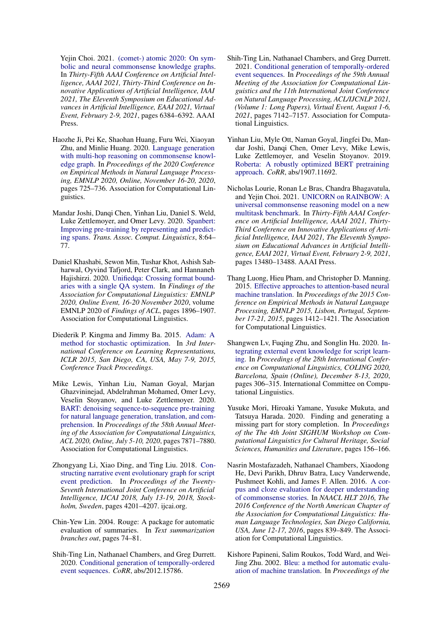Yejin Choi. 2021. [\(comet-\) atomic 2020: On sym](https://ojs.aaai.org/index.php/AAAI/article/view/16792)[bolic and neural commonsense knowledge graphs.](https://ojs.aaai.org/index.php/AAAI/article/view/16792) In *Thirty-Fifth AAAI Conference on Artificial Intelligence, AAAI 2021, Thirty-Third Conference on Innovative Applications of Artificial Intelligence, IAAI 2021, The Eleventh Symposium on Educational Advances in Artificial Intelligence, EAAI 2021, Virtual Event, February 2-9, 2021*, pages 6384–6392. AAAI Press.

- <span id="page-10-3"></span>Haozhe Ji, Pei Ke, Shaohan Huang, Furu Wei, Xiaoyan Zhu, and Minlie Huang. 2020. [Language generation](https://doi.org/10.18653/v1/2020.emnlp-main.54) [with multi-hop reasoning on commonsense knowl](https://doi.org/10.18653/v1/2020.emnlp-main.54)[edge graph.](https://doi.org/10.18653/v1/2020.emnlp-main.54) In *Proceedings of the 2020 Conference on Empirical Methods in Natural Language Processing, EMNLP 2020, Online, November 16-20, 2020*, pages 725–736. Association for Computational Linguistics.
- <span id="page-10-9"></span>Mandar Joshi, Danqi Chen, Yinhan Liu, Daniel S. Weld, Luke Zettlemoyer, and Omer Levy. 2020. [Spanbert:](https://transacl.org/ojs/index.php/tacl/article/view/1853) [Improving pre-training by representing and predict](https://transacl.org/ojs/index.php/tacl/article/view/1853)[ing spans.](https://transacl.org/ojs/index.php/tacl/article/view/1853) *Trans. Assoc. Comput. Linguistics*, 8:64– 77.
- <span id="page-10-7"></span>Daniel Khashabi, Sewon Min, Tushar Khot, Ashish Sabharwal, Oyvind Tafjord, Peter Clark, and Hannaneh Hajishirzi. 2020. [Unifiedqa: Crossing format bound](https://doi.org/10.18653/v1/2020.findings-emnlp.171)[aries with a single QA system.](https://doi.org/10.18653/v1/2020.findings-emnlp.171) In *Findings of the Association for Computational Linguistics: EMNLP 2020, Online Event, 16-20 November 2020*, volume EMNLP 2020 of *Findings of ACL*, pages 1896–1907. Association for Computational Linguistics.
- <span id="page-10-11"></span>Diederik P. Kingma and Jimmy Ba. 2015. [Adam: A](http://arxiv.org/abs/1412.6980) [method for stochastic optimization.](http://arxiv.org/abs/1412.6980) In *3rd International Conference on Learning Representations, ICLR 2015, San Diego, CA, USA, May 7-9, 2015, Conference Track Proceedings*.
- <span id="page-10-2"></span>Mike Lewis, Yinhan Liu, Naman Goyal, Marjan Ghazvininejad, Abdelrahman Mohamed, Omer Levy, Veselin Stoyanov, and Luke Zettlemoyer. 2020. [BART: denoising sequence-to-sequence pre-training](https://doi.org/10.18653/v1/2020.acl-main.703) [for natural language generation, translation, and com](https://doi.org/10.18653/v1/2020.acl-main.703)[prehension.](https://doi.org/10.18653/v1/2020.acl-main.703) In *Proceedings of the 58th Annual Meeting of the Association for Computational Linguistics, ACL 2020, Online, July 5-10, 2020*, pages 7871–7880. Association for Computational Linguistics.
- <span id="page-10-4"></span>Zhongyang Li, Xiao Ding, and Ting Liu. 2018. [Con](https://doi.org/10.24963/ijcai.2018/584)[structing narrative event evolutionary graph for script](https://doi.org/10.24963/ijcai.2018/584) [event prediction.](https://doi.org/10.24963/ijcai.2018/584) In *Proceedings of the Twenty-Seventh International Joint Conference on Artificial Intelligence, IJCAI 2018, July 13-19, 2018, Stockholm, Sweden*, pages 4201–4207. ijcai.org.
- <span id="page-10-14"></span>Chin-Yew Lin. 2004. Rouge: A package for automatic evaluation of summaries. In *Text summarization branches out*, pages 74–81.
- <span id="page-10-1"></span>Shih-Ting Lin, Nathanael Chambers, and Greg Durrett. 2020. [Conditional generation of temporally-ordered](http://arxiv.org/abs/2012.15786) [event sequences.](http://arxiv.org/abs/2012.15786) *CoRR*, abs/2012.15786.
- <span id="page-10-6"></span>Shih-Ting Lin, Nathanael Chambers, and Greg Durrett. 2021. [Conditional generation of temporally-ordered](https://doi.org/10.18653/v1/2021.acl-long.555) [event sequences.](https://doi.org/10.18653/v1/2021.acl-long.555) In *Proceedings of the 59th Annual Meeting of the Association for Computational Linguistics and the 11th International Joint Conference on Natural Language Processing, ACL/IJCNLP 2021, (Volume 1: Long Papers), Virtual Event, August 1-6, 2021*, pages 7142–7157. Association for Computational Linguistics.
- <span id="page-10-12"></span>Yinhan Liu, Myle Ott, Naman Goyal, Jingfei Du, Mandar Joshi, Danqi Chen, Omer Levy, Mike Lewis, Luke Zettlemoyer, and Veselin Stoyanov. 2019. [Roberta: A robustly optimized BERT pretraining](http://arxiv.org/abs/1907.11692) [approach.](http://arxiv.org/abs/1907.11692) *CoRR*, abs/1907.11692.
- <span id="page-10-8"></span>Nicholas Lourie, Ronan Le Bras, Chandra Bhagavatula, and Yejin Choi. 2021. [UNICORN on RAINBOW: A](https://ojs.aaai.org/index.php/AAAI/article/view/17590) [universal commonsense reasoning model on a new](https://ojs.aaai.org/index.php/AAAI/article/view/17590) [multitask benchmark.](https://ojs.aaai.org/index.php/AAAI/article/view/17590) In *Thirty-Fifth AAAI Conference on Artificial Intelligence, AAAI 2021, Thirty-Third Conference on Innovative Applications of Artificial Intelligence, IAAI 2021, The Eleventh Symposium on Educational Advances in Artificial Intelligence, EAAI 2021, Virtual Event, February 2-9, 2021*, pages 13480–13488. AAAI Press.
- <span id="page-10-15"></span>Thang Luong, Hieu Pham, and Christopher D. Manning. 2015. [Effective approaches to attention-based neural](https://doi.org/10.18653/v1/d15-1166) [machine translation.](https://doi.org/10.18653/v1/d15-1166) In *Proceedings of the 2015 Conference on Empirical Methods in Natural Language Processing, EMNLP 2015, Lisbon, Portugal, September 17-21, 2015*, pages 1412–1421. The Association for Computational Linguistics.
- <span id="page-10-0"></span>Shangwen Lv, Fuqing Zhu, and Songlin Hu. 2020. [In](https://doi.org/10.18653/v1/2020.coling-main.27)[tegrating external event knowledge for script learn](https://doi.org/10.18653/v1/2020.coling-main.27)[ing.](https://doi.org/10.18653/v1/2020.coling-main.27) In *Proceedings of the 28th International Conference on Computational Linguistics, COLING 2020, Barcelona, Spain (Online), December 8-13, 2020*, pages 306–315. International Committee on Computational Linguistics.
- <span id="page-10-5"></span>Yusuke Mori, Hiroaki Yamane, Yusuke Mukuta, and Tatsuya Harada. 2020. Finding and generating a missing part for story completion. In *Proceedings of the The 4th Joint SIGHUM Workshop on Computational Linguistics for Cultural Heritage, Social Sciences, Humanities and Literature*, pages 156–166.
- <span id="page-10-10"></span>Nasrin Mostafazadeh, Nathanael Chambers, Xiaodong He, Devi Parikh, Dhruv Batra, Lucy Vanderwende, Pushmeet Kohli, and James F. Allen. 2016. [A cor](https://doi.org/10.18653/v1/n16-1098)[pus and cloze evaluation for deeper understanding](https://doi.org/10.18653/v1/n16-1098) [of commonsense stories.](https://doi.org/10.18653/v1/n16-1098) In *NAACL HLT 2016, The 2016 Conference of the North American Chapter of the Association for Computational Linguistics: Human Language Technologies, San Diego California, USA, June 12-17, 2016*, pages 839–849. The Association for Computational Linguistics.
- <span id="page-10-13"></span>Kishore Papineni, Salim Roukos, Todd Ward, and Wei-Jing Zhu. 2002. [Bleu: a method for automatic evalu](https://doi.org/10.3115/1073083.1073135)[ation of machine translation.](https://doi.org/10.3115/1073083.1073135) In *Proceedings of the*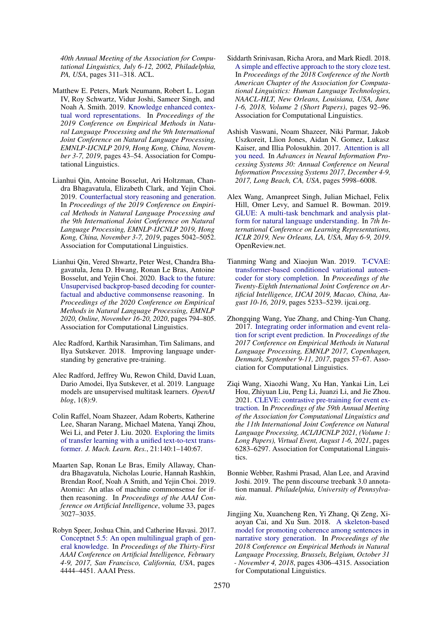*40th Annual Meeting of the Association for Computational Linguistics, July 6-12, 2002, Philadelphia, PA, USA*, pages 311–318. ACL.

- <span id="page-11-14"></span>Matthew E. Peters, Mark Neumann, Robert L. Logan IV, Roy Schwartz, Vidur Joshi, Sameer Singh, and Noah A. Smith. 2019. [Knowledge enhanced contex](https://doi.org/10.18653/v1/D19-1005)[tual word representations.](https://doi.org/10.18653/v1/D19-1005) In *Proceedings of the 2019 Conference on Empirical Methods in Natural Language Processing and the 9th International Joint Conference on Natural Language Processing, EMNLP-IJCNLP 2019, Hong Kong, China, November 3-7, 2019*, pages 43–54. Association for Computational Linguistics.
- <span id="page-11-0"></span>Lianhui Qin, Antoine Bosselut, Ari Holtzman, Chandra Bhagavatula, Elizabeth Clark, and Yejin Choi. 2019. [Counterfactual story reasoning and generation.](https://doi.org/10.18653/v1/D19-1509) In *Proceedings of the 2019 Conference on Empirical Methods in Natural Language Processing and the 9th International Joint Conference on Natural Language Processing, EMNLP-IJCNLP 2019, Hong Kong, China, November 3-7, 2019*, pages 5042–5052. Association for Computational Linguistics.
- <span id="page-11-1"></span>Lianhui Qin, Vered Shwartz, Peter West, Chandra Bhagavatula, Jena D. Hwang, Ronan Le Bras, Antoine Bosselut, and Yejin Choi. 2020. [Back to the future:](https://doi.org/10.18653/v1/2020.emnlp-main.58) [Unsupervised backprop-based decoding for counter](https://doi.org/10.18653/v1/2020.emnlp-main.58)[factual and abductive commonsense reasoning.](https://doi.org/10.18653/v1/2020.emnlp-main.58) In *Proceedings of the 2020 Conference on Empirical Methods in Natural Language Processing, EMNLP 2020, Online, November 16-20, 2020*, pages 794–805. Association for Computational Linguistics.
- <span id="page-11-15"></span>Alec Radford, Karthik Narasimhan, Tim Salimans, and Ilya Sutskever. 2018. Improving language understanding by generative pre-training.
- <span id="page-11-2"></span>Alec Radford, Jeffrey Wu, Rewon Child, David Luan, Dario Amodei, Ilya Sutskever, et al. 2019. Language models are unsupervised multitask learners. *OpenAI blog*, 1(8):9.
- <span id="page-11-3"></span>Colin Raffel, Noam Shazeer, Adam Roberts, Katherine Lee, Sharan Narang, Michael Matena, Yanqi Zhou, Wei Li, and Peter J. Liu. 2020. [Exploring the limits](http://jmlr.org/papers/v21/20-074.html) [of transfer learning with a unified text-to-text trans](http://jmlr.org/papers/v21/20-074.html)[former.](http://jmlr.org/papers/v21/20-074.html) *J. Mach. Learn. Res.*, 21:140:1–140:67.
- <span id="page-11-8"></span>Maarten Sap, Ronan Le Bras, Emily Allaway, Chandra Bhagavatula, Nicholas Lourie, Hannah Rashkin, Brendan Roof, Noah A Smith, and Yejin Choi. 2019. Atomic: An atlas of machine commonsense for ifthen reasoning. In *Proceedings of the AAAI Conference on Artificial Intelligence*, volume 33, pages 3027–3035.
- <span id="page-11-9"></span>Robyn Speer, Joshua Chin, and Catherine Havasi. 2017. [Conceptnet 5.5: An open multilingual graph of gen](http://aaai.org/ocs/index.php/AAAI/AAAI17/paper/view/14972)[eral knowledge.](http://aaai.org/ocs/index.php/AAAI/AAAI17/paper/view/14972) In *Proceedings of the Thirty-First AAAI Conference on Artificial Intelligence, February 4-9, 2017, San Francisco, California, USA*, pages 4444–4451. AAAI Press.
- <span id="page-11-6"></span>Siddarth Srinivasan, Richa Arora, and Mark Riedl. 2018. [A simple and effective approach to the story cloze test.](https://doi.org/10.18653/v1/n18-2015) In *Proceedings of the 2018 Conference of the North American Chapter of the Association for Computational Linguistics: Human Language Technologies, NAACL-HLT, New Orleans, Louisiana, USA, June 1-6, 2018, Volume 2 (Short Papers)*, pages 92–96. Association for Computational Linguistics.
- <span id="page-11-10"></span>Ashish Vaswani, Noam Shazeer, Niki Parmar, Jakob Uszkoreit, Llion Jones, Aidan N. Gomez, Lukasz Kaiser, and Illia Polosukhin. 2017. [Attention is all](https://proceedings.neurips.cc/paper/2017/hash/3f5ee243547dee91fbd053c1c4a845aa-Abstract.html) [you need.](https://proceedings.neurips.cc/paper/2017/hash/3f5ee243547dee91fbd053c1c4a845aa-Abstract.html) In *Advances in Neural Information Processing Systems 30: Annual Conference on Neural Information Processing Systems 2017, December 4-9, 2017, Long Beach, CA, USA*, pages 5998–6008.
- <span id="page-11-11"></span>Alex Wang, Amanpreet Singh, Julian Michael, Felix Hill, Omer Levy, and Samuel R. Bowman. 2019. [GLUE: A multi-task benchmark and analysis plat](https://openreview.net/forum?id=rJ4km2R5t7)[form for natural language understanding.](https://openreview.net/forum?id=rJ4km2R5t7) In *7th International Conference on Learning Representations, ICLR 2019, New Orleans, LA, USA, May 6-9, 2019*. OpenReview.net.
- <span id="page-11-4"></span>Tianming Wang and Xiaojun Wan. 2019. [T-CVAE:](https://doi.org/10.24963/ijcai.2019/727) [transformer-based conditioned variational autoen](https://doi.org/10.24963/ijcai.2019/727)[coder for story completion.](https://doi.org/10.24963/ijcai.2019/727) In *Proceedings of the Twenty-Eighth International Joint Conference on Artificial Intelligence, IJCAI 2019, Macao, China, August 10-16, 2019*, pages 5233–5239. ijcai.org.
- <span id="page-11-5"></span>Zhongqing Wang, Yue Zhang, and Ching-Yun Chang. 2017. [Integrating order information and event rela](https://doi.org/10.18653/v1/d17-1006)[tion for script event prediction.](https://doi.org/10.18653/v1/d17-1006) In *Proceedings of the 2017 Conference on Empirical Methods in Natural Language Processing, EMNLP 2017, Copenhagen, Denmark, September 9-11, 2017*, pages 57–67. Association for Computational Linguistics.
- <span id="page-11-7"></span>Ziqi Wang, Xiaozhi Wang, Xu Han, Yankai Lin, Lei Hou, Zhiyuan Liu, Peng Li, Juanzi Li, and Jie Zhou. 2021. [CLEVE: contrastive pre-training for event ex](https://doi.org/10.18653/v1/2021.acl-long.491)[traction.](https://doi.org/10.18653/v1/2021.acl-long.491) In *Proceedings of the 59th Annual Meeting of the Association for Computational Linguistics and the 11th International Joint Conference on Natural Language Processing, ACL/IJCNLP 2021, (Volume 1: Long Papers), Virtual Event, August 1-6, 2021*, pages 6283–6297. Association for Computational Linguistics.
- <span id="page-11-12"></span>Bonnie Webber, Rashmi Prasad, Alan Lee, and Aravind Joshi. 2019. The penn discourse treebank 3.0 annotation manual. *Philadelphia, University of Pennsylvania*.
- <span id="page-11-13"></span>Jingjing Xu, Xuancheng Ren, Yi Zhang, Qi Zeng, Xiaoyan Cai, and Xu Sun. 2018. [A skeleton-based](https://aclanthology.org/D18-1462/) [model for promoting coherence among sentences in](https://aclanthology.org/D18-1462/) [narrative story generation.](https://aclanthology.org/D18-1462/) In *Proceedings of the 2018 Conference on Empirical Methods in Natural Language Processing, Brussels, Belgium, October 31 - November 4, 2018*, pages 4306–4315. Association for Computational Linguistics.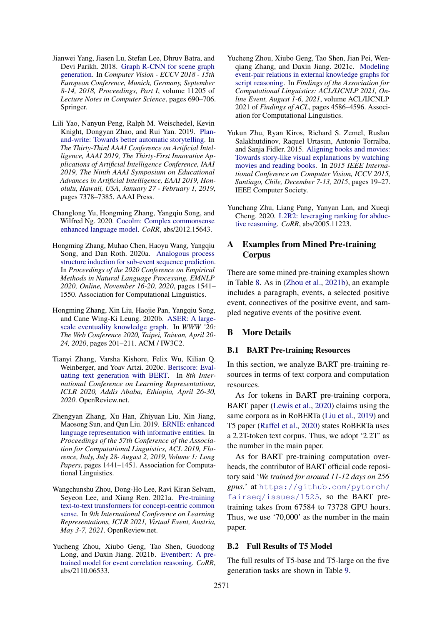- <span id="page-12-13"></span>Jianwei Yang, Jiasen Lu, Stefan Lee, Dhruv Batra, and Devi Parikh. 2018. [Graph R-CNN for scene graph](https://doi.org/10.1007/978-3-030-01246-5_41) [generation.](https://doi.org/10.1007/978-3-030-01246-5_41) In *Computer Vision - ECCV 2018 - 15th European Conference, Munich, Germany, September 8-14, 2018, Proceedings, Part I*, volume 11205 of *Lecture Notes in Computer Science*, pages 690–706. Springer.
- <span id="page-12-5"></span>Lili Yao, Nanyun Peng, Ralph M. Weischedel, Kevin Knight, Dongyan Zhao, and Rui Yan. 2019. [Plan](https://doi.org/10.1609/aaai.v33i01.33017378)[and-write: Towards better automatic storytelling.](https://doi.org/10.1609/aaai.v33i01.33017378) In *The Thirty-Third AAAI Conference on Artificial Intelligence, AAAI 2019, The Thirty-First Innovative Applications of Artificial Intelligence Conference, IAAI 2019, The Ninth AAAI Symposium on Educational Advances in Artificial Intelligence, EAAI 2019, Honolulu, Hawaii, USA, January 27 - February 1, 2019*, pages 7378–7385. AAAI Press.
- <span id="page-12-2"></span>Changlong Yu, Hongming Zhang, Yangqiu Song, and Wilfred Ng. 2020. [Cocolm: Complex commonsense](http://arxiv.org/abs/2012.15643) [enhanced language model.](http://arxiv.org/abs/2012.15643) *CoRR*, abs/2012.15643.
- <span id="page-12-8"></span>Hongming Zhang, Muhao Chen, Haoyu Wang, Yangqiu Song, and Dan Roth. 2020a. [Analogous process](https://doi.org/10.18653/v1/2020.emnlp-main.119) [structure induction for sub-event sequence prediction.](https://doi.org/10.18653/v1/2020.emnlp-main.119) In *Proceedings of the 2020 Conference on Empirical Methods in Natural Language Processing, EMNLP 2020, Online, November 16-20, 2020*, pages 1541– 1550. Association for Computational Linguistics.
- <span id="page-12-0"></span>Hongming Zhang, Xin Liu, Haojie Pan, Yangqiu Song, and Cane Wing-Ki Leung. 2020b. [ASER: A large](https://doi.org/10.1145/3366423.3380107)[scale eventuality knowledge graph.](https://doi.org/10.1145/3366423.3380107) In *WWW '20: The Web Conference 2020, Taipei, Taiwan, April 20- 24, 2020*, pages 201–211. ACM / IW3C2.
- <span id="page-12-11"></span>Tianyi Zhang, Varsha Kishore, Felix Wu, Kilian Q. Weinberger, and Yoav Artzi. 2020c. [Bertscore: Eval](https://openreview.net/forum?id=SkeHuCVFDr)[uating text generation with BERT.](https://openreview.net/forum?id=SkeHuCVFDr) In *8th International Conference on Learning Representations, ICLR 2020, Addis Ababa, Ethiopia, April 26-30, 2020*. OpenReview.net.
- <span id="page-12-14"></span>Zhengyan Zhang, Xu Han, Zhiyuan Liu, Xin Jiang, Maosong Sun, and Qun Liu. 2019. [ERNIE: enhanced](https://doi.org/10.18653/v1/p19-1139) [language representation with informative entities.](https://doi.org/10.18653/v1/p19-1139) In *Proceedings of the 57th Conference of the Association for Computational Linguistics, ACL 2019, Florence, Italy, July 28- August 2, 2019, Volume 1: Long Papers*, pages 1441–1451. Association for Computational Linguistics.
- <span id="page-12-9"></span>Wangchunshu Zhou, Dong-Ho Lee, Ravi Kiran Selvam, Seyeon Lee, and Xiang Ren. 2021a. [Pre-training](https://openreview.net/forum?id=3k20LAiHYL2) [text-to-text transformers for concept-centric common](https://openreview.net/forum?id=3k20LAiHYL2) [sense.](https://openreview.net/forum?id=3k20LAiHYL2) In *9th International Conference on Learning Representations, ICLR 2021, Virtual Event, Austria, May 3-7, 2021*. OpenReview.net.
- <span id="page-12-3"></span>Yucheng Zhou, Xiubo Geng, Tao Shen, Guodong Long, and Daxin Jiang. 2021b. [Eventbert: A pre](http://arxiv.org/abs/2110.06533)[trained model for event correlation reasoning.](http://arxiv.org/abs/2110.06533) *CoRR*, abs/2110.06533.
- <span id="page-12-6"></span>Yucheng Zhou, Xiubo Geng, Tao Shen, Jian Pei, Wenqiang Zhang, and Daxin Jiang. 2021c. [Modeling](https://doi.org/10.18653/v1/2021.findings-acl.403) [event-pair relations in external knowledge graphs for](https://doi.org/10.18653/v1/2021.findings-acl.403) [script reasoning.](https://doi.org/10.18653/v1/2021.findings-acl.403) In *Findings of the Association for Computational Linguistics: ACL/IJCNLP 2021, Online Event, August 1-6, 2021*, volume ACL/IJCNLP 2021 of *Findings of ACL*, pages 4586–4596. Association for Computational Linguistics.
- <span id="page-12-7"></span>Yukun Zhu, Ryan Kiros, Richard S. Zemel, Ruslan Salakhutdinov, Raquel Urtasun, Antonio Torralba, and Sanja Fidler. 2015. [Aligning books and movies:](https://doi.org/10.1109/ICCV.2015.11) [Towards story-like visual explanations by watching](https://doi.org/10.1109/ICCV.2015.11) [movies and reading books.](https://doi.org/10.1109/ICCV.2015.11) In *2015 IEEE International Conference on Computer Vision, ICCV 2015, Santiago, Chile, December 7-13, 2015*, pages 19–27. IEEE Computer Society.
- <span id="page-12-4"></span>Yunchang Zhu, Liang Pang, Yanyan Lan, and Xueqi Cheng. 2020. [L2R2: leveraging ranking for abduc](http://arxiv.org/abs/2005.11223)[tive reasoning.](http://arxiv.org/abs/2005.11223) *CoRR*, abs/2005.11223.

## <span id="page-12-1"></span>A Examples from Mined Pre-training Corpus

There are some mined pre-training examples shown in Table [8.](#page-13-1) As in [\(Zhou et al.,](#page-12-3) [2021b\)](#page-12-3), an example includes a paragraph, events, a selected positive event, connectives of the positive event, and sampled negative events of the positive event.

# B More Details

#### <span id="page-12-10"></span>B.1 BART Pre-training Resources

In this section, we analyze BART pre-training resources in terms of text corpora and computation resources.

As for tokens in BART pre-training corpora, BART paper [\(Lewis et al.,](#page-10-2) [2020\)](#page-10-2) claims using the same corpora as in RoBERTa [\(Liu et al.,](#page-10-12) [2019\)](#page-10-12) and T5 paper [\(Raffel et al.,](#page-11-3) [2020\)](#page-11-3) states RoBERTa uses a 2.2T-token text corpus. Thus, we adopt '2.2T' as the number in the main paper.

As for BART pre-training computation overheads, the contributor of BART official code repository said '*We trained for around 11-12 days on 256 gpus.*' at [https://github.com/pytorch/](https://github.com/pytorch/fairseq/issues/1525) [fairseq/issues/1525](https://github.com/pytorch/fairseq/issues/1525), so the BART pretraining takes from 67584 to 73728 GPU hours. Thus, we use '70,000' as the number in the main paper.

#### <span id="page-12-12"></span>B.2 Full Results of T5 Model

The full results of T5-base and T5-large on the five generation tasks are shown in Table [9.](#page-13-2)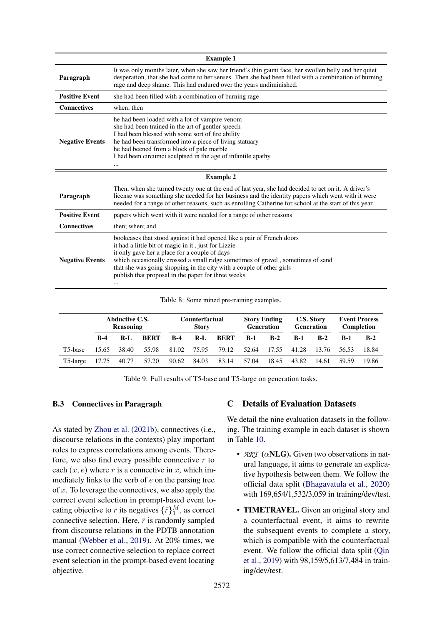<span id="page-13-1"></span>

| <b>Example 1</b>       |                                                                                                                                                                                                                                                                                                                                                                                                     |  |  |  |  |  |
|------------------------|-----------------------------------------------------------------------------------------------------------------------------------------------------------------------------------------------------------------------------------------------------------------------------------------------------------------------------------------------------------------------------------------------------|--|--|--|--|--|
| Paragraph              | It was only months later, when she saw her friend's thin gaunt face, her swollen belly and her quiet<br>desperation, that she had come to her senses. Then she had been filled with a combination of burning<br>rage and deep shame. This had endured over the years undiminished.                                                                                                                  |  |  |  |  |  |
| <b>Positive Event</b>  | she had been filled with a combination of burning rage                                                                                                                                                                                                                                                                                                                                              |  |  |  |  |  |
| <b>Connectives</b>     | when; then                                                                                                                                                                                                                                                                                                                                                                                          |  |  |  |  |  |
| <b>Negative Events</b> | he had been loaded with a lot of vampire venom<br>she had been trained in the art of gentler speech<br>I had been blessed with some sort of fire ability<br>he had been transformed into a piece of living statuary<br>he had beened from a block of pale marble<br>I had been circumci sculptsed in the age of infantile apathy<br>                                                                |  |  |  |  |  |
|                        | <b>Example 2</b>                                                                                                                                                                                                                                                                                                                                                                                    |  |  |  |  |  |
| Paragraph              | Then, when she turned twenty one at the end of last year, she had decided to act on it. A driver's<br>license was something she needed for her business and the identity papers which went with it were<br>needed for a range of other reasons, such as enrolling Catherine for school at the start of this year.                                                                                   |  |  |  |  |  |
| <b>Positive Event</b>  | papers which went with it were needed for a range of other reasons                                                                                                                                                                                                                                                                                                                                  |  |  |  |  |  |
| <b>Connectives</b>     | then; when; and                                                                                                                                                                                                                                                                                                                                                                                     |  |  |  |  |  |
| <b>Negative Events</b> | bookcases that stood against it had opened like a pair of French doors<br>it had a little bit of magic in it, just for Lizzie<br>it only gave her a place for a couple of days<br>which occasionally crossed a small ridge sometimes of gravel, sometimes of sand<br>that she was going shopping in the city with a couple of other girls<br>publish that proposal in the paper for three weeks<br> |  |  |  |  |  |

Table 8: Some mined pre-training examples.

<span id="page-13-2"></span>

|          | <b>Abductive C.S.</b><br><b>Reasoning</b> |       | <b>Counterfactual</b><br><b>Story</b> |                   |             | <b>Story Ending</b><br><b>Generation</b> |            | C.S. Story<br><b>Generation</b> |       | <b>Event Process</b><br>Completion |            |       |
|----------|-------------------------------------------|-------|---------------------------------------|-------------------|-------------|------------------------------------------|------------|---------------------------------|-------|------------------------------------|------------|-------|
|          | $R-4$                                     | $R-I$ | BERT                                  | $B-4$             | $R-L$       | BERT                                     | <b>B-1</b> | $B-2$                           | $R-1$ | $B-2$                              | <b>B-1</b> | $B-2$ |
| T5-base  | 15.65                                     | 38.40 | 55.98                                 |                   | 81.02 75.95 | 79.12                                    | 52.64      | 17.55                           | 41.28 | 13.76                              | 56.53      | 18.84 |
| T5-large | 17.75                                     | 40.77 |                                       | 57.20 90.62 84.03 |             | 83.14                                    | 57.04      | 18.45                           | 43.82 | 14.61                              | 59.59      | 19.86 |

Table 9: Full results of T5-base and T5-large on generation tasks.

# B.3 Connectives in Paragraph

As stated by [Zhou et al.](#page-12-3) [\(2021b\)](#page-12-3), connectives (i.e., discourse relations in the contexts) play important roles to express correlations among events. Therefore, we also find every possible connective  $r$  to each  $(x, e)$  where r is a connective in x, which immediately links to the verb of  $e$  on the parsing tree of  $x$ . To leverage the connectives, we also apply the correct event selection in prompt-based event locating objective to r its negatives  $\{\bar{r}\}_{1}^{M}$ , as correct connective selection. Here,  $\bar{r}$  is randomly sampled from discourse relations in the PDTB annotation manual [\(Webber et al.,](#page-11-12) [2019\)](#page-11-12). At 20% times, we use correct connective selection to replace correct event selection in the prompt-based event locating objective.

# <span id="page-13-0"></span>C Details of Evaluation Datasets

We detail the nine evaluation datasets in the following. The training example in each dataset is shown in Table [10.](#page-15-0)

- *ART* (αNLG). Given two observations in natural language, it aims to generate an explicative hypothesis between them. We follow the official data split [\(Bhagavatula et al.,](#page-8-0) [2020\)](#page-8-0) with 169,654/1,532/3,059 in training/dev/test.
- TIMETRAVEL. Given an original story and a counterfactual event, it aims to rewrite the subsequent events to complete a story, which is compatible with the counterfactual event. We follow the official data split [\(Qin](#page-11-0) [et al.,](#page-11-0) [2019\)](#page-11-0) with 98,159/5,613/7,484 in training/dev/test.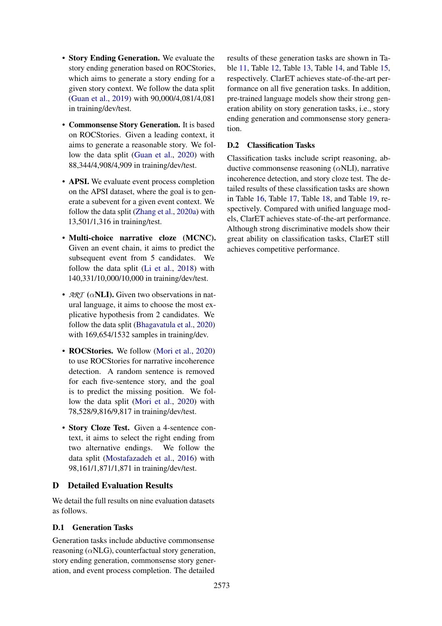- Story Ending Generation. We evaluate the story ending generation based on ROCStories, which aims to generate a story ending for a given story context. We follow the data split [\(Guan et al.,](#page-9-2) [2019\)](#page-9-2) with 90,000/4,081/4,081 in training/dev/test.
- Commonsense Story Generation. It is based on ROCStories. Given a leading context, it aims to generate a reasonable story. We follow the data split [\(Guan et al.,](#page-9-8) [2020\)](#page-9-8) with 88,344/4,908/4,909 in training/dev/test.
- APSI. We evaluate event process completion on the APSI dataset, where the goal is to generate a subevent for a given event context. We follow the data split [\(Zhang et al.,](#page-12-8) [2020a\)](#page-12-8) with 13,501/1,316 in training/test.
- Multi-choice narrative cloze (MCNC). Given an event chain, it aims to predict the subsequent event from 5 candidates. We follow the data split [\(Li et al.,](#page-10-4) [2018\)](#page-10-4) with 140,331/10,000/10,000 in training/dev/test.
- $\mathcal{A}\mathcal{R}$ *T* ( $\alpha$ **NLI**). Given two observations in natural language, it aims to choose the most explicative hypothesis from 2 candidates. We follow the data split [\(Bhagavatula et al.,](#page-8-0) [2020\)](#page-8-0) with 169,654/1532 samples in training/dev.
- ROCStories. We follow [\(Mori et al.,](#page-10-5) [2020\)](#page-10-5) to use ROCStories for narrative incoherence detection. A random sentence is removed for each five-sentence story, and the goal is to predict the missing position. We follow the data split [\(Mori et al.,](#page-10-5) [2020\)](#page-10-5) with 78,528/9,816/9,817 in training/dev/test.
- Story Cloze Test. Given a 4-sentence context, it aims to select the right ending from two alternative endings. We follow the data split [\(Mostafazadeh et al.,](#page-10-10) [2016\)](#page-10-10) with 98,161/1,871/1,871 in training/dev/test.

# D Detailed Evaluation Results

We detail the full results on nine evaluation datasets as follows.

# <span id="page-14-0"></span>D.1 Generation Tasks

Generation tasks include abductive commonsense reasoning ( $\alpha$ NLG), counterfactual story generation, story ending generation, commonsense story generation, and event process completion. The detailed

results of these generation tasks are shown in Table [11,](#page-16-0) Table [12,](#page-16-1) Table [13,](#page-16-2) Table [14,](#page-16-3) and Table [15,](#page-16-4) respectively. ClarET achieves state-of-the-art performance on all five generation tasks. In addition, pre-trained language models show their strong generation ability on story generation tasks, i.e., story ending generation and commonsense story generation.

# <span id="page-14-1"></span>D.2 Classification Tasks

Classification tasks include script reasoning, abductive commonsense reasoning  $(\alpha NLI)$ , narrative incoherence detection, and story cloze test. The detailed results of these classification tasks are shown in Table [16,](#page-16-5) Table [17,](#page-16-6) Table [18,](#page-16-7) and Table [19,](#page-16-8) respectively. Compared with unified language models, ClarET achieves state-of-the-art performance. Although strong discriminative models show their great ability on classification tasks, ClarET still achieves competitive performance.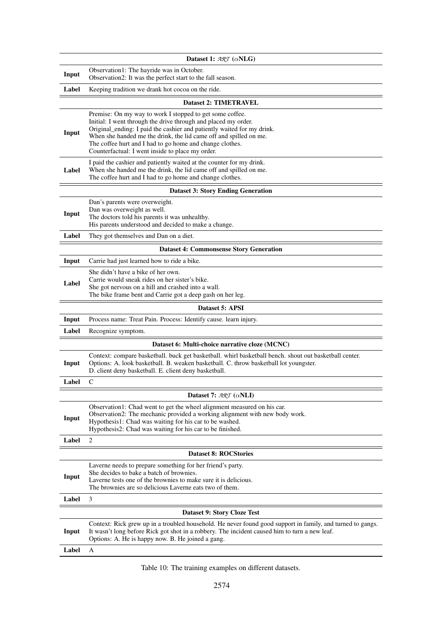<span id="page-15-0"></span>

|       | Dataset 1: $ARI(\alpha NLG)$                                                                                                                                                                                                                                                                                                                                                              |
|-------|-------------------------------------------------------------------------------------------------------------------------------------------------------------------------------------------------------------------------------------------------------------------------------------------------------------------------------------------------------------------------------------------|
| Input | Observation1: The hayride was in October.<br>Observation2: It was the perfect start to the fall season.                                                                                                                                                                                                                                                                                   |
| Label | Keeping tradition we drank hot cocoa on the ride.                                                                                                                                                                                                                                                                                                                                         |
|       | <b>Dataset 2: TIMETRAVEL</b>                                                                                                                                                                                                                                                                                                                                                              |
| Input | Premise: On my way to work I stopped to get some coffee.<br>Initial: I went through the drive through and placed my order.<br>Original_ending: I paid the cashier and patiently waited for my drink.<br>When she handed me the drink, the lid came off and spilled on me.<br>The coffee hurt and I had to go home and change clothes.<br>Counterfactual: I went inside to place my order. |
| Label | I paid the cashier and patiently waited at the counter for my drink.<br>When she handed me the drink, the lid came off and spilled on me.<br>The coffee hurt and I had to go home and change clothes.                                                                                                                                                                                     |
|       | <b>Dataset 3: Story Ending Generation</b>                                                                                                                                                                                                                                                                                                                                                 |
| Input | Dan's parents were overweight.<br>Dan was overweight as well.<br>The doctors told his parents it was unhealthy.<br>His parents understood and decided to make a change.                                                                                                                                                                                                                   |
| Label | They got themselves and Dan on a diet.                                                                                                                                                                                                                                                                                                                                                    |
|       | <b>Dataset 4: Commonsense Story Generation</b>                                                                                                                                                                                                                                                                                                                                            |
| Input | Carrie had just learned how to ride a bike.                                                                                                                                                                                                                                                                                                                                               |
| Label | She didn't have a bike of her own.<br>Carrie would sneak rides on her sister's bike.<br>She got nervous on a hill and crashed into a wall.<br>The bike frame bent and Carrie got a deep gash on her leg.                                                                                                                                                                                  |
|       | Dataset 5: APSI                                                                                                                                                                                                                                                                                                                                                                           |
| Input | Process name: Treat Pain. Process: Identify cause. learn injury.                                                                                                                                                                                                                                                                                                                          |
| Label | Recognize symptom.                                                                                                                                                                                                                                                                                                                                                                        |
|       | Dataset 6: Multi-choice narrative cloze (MCNC)                                                                                                                                                                                                                                                                                                                                            |
| Input | Context: compare basketball. buck get basketball. whirl basketball bench. shout out basketball center.<br>Options: A. look basketball. B. weaken basketball. C. throw basketball lot youngster.<br>D. client deny basketball. E. client deny basketball.                                                                                                                                  |
| Label | C                                                                                                                                                                                                                                                                                                                                                                                         |
|       | Dataset 7: $\mathcal{ART}$ ( $\alpha$ NLI)                                                                                                                                                                                                                                                                                                                                                |
| Input | Observation1: Chad went to get the wheel alignment measured on his car.<br>Observation2: The mechanic provided a working alignment with new body work.<br>Hypothesis1: Chad was waiting for his car to be washed.<br>Hypothesis2: Chad was waiting for his car to be finished.                                                                                                            |
| Label | 2                                                                                                                                                                                                                                                                                                                                                                                         |
|       | <b>Dataset 8: ROCStories</b>                                                                                                                                                                                                                                                                                                                                                              |
|       | Laverne needs to prepare something for her friend's party.<br>She decides to bake a batch of brownies.                                                                                                                                                                                                                                                                                    |
| Input | Laverne tests one of the brownies to make sure it is delicious.<br>The brownies are so delicious Laverne eats two of them.                                                                                                                                                                                                                                                                |
| Label | 3                                                                                                                                                                                                                                                                                                                                                                                         |
|       | Dataset 9: Story Cloze Test                                                                                                                                                                                                                                                                                                                                                               |
| Input | Context: Rick grew up in a troubled household. He never found good support in family, and turned to gangs.<br>It wasn't long before Rick got shot in a robbery. The incident caused him to turn a new leaf.<br>Options: A. He is happy now. B. He joined a gang.                                                                                                                          |
| Label | A                                                                                                                                                                                                                                                                                                                                                                                         |

Table 10: The training examples on different datasets.